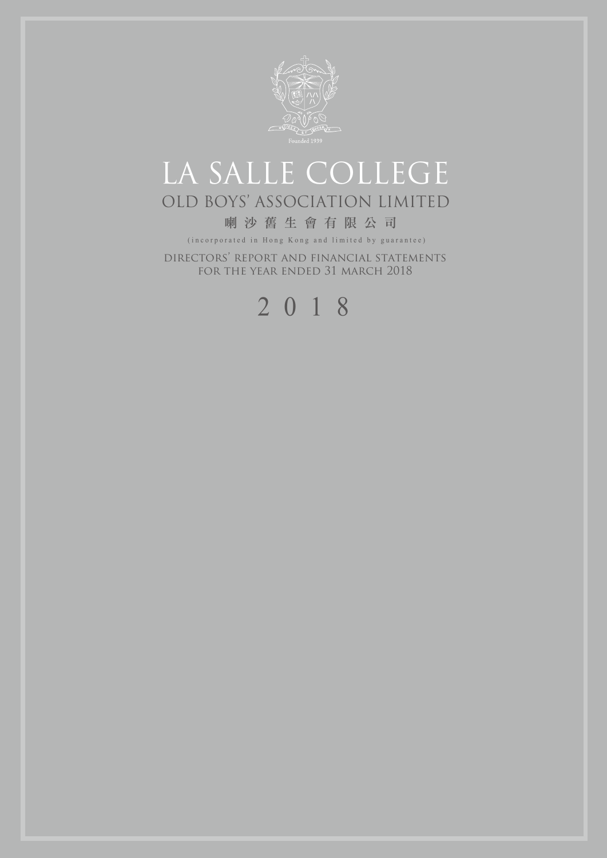

# LA SALLE COLLEGE OLD BOYS' ASSOCIATION LIMITED

### 喇沙舊生會有限公司

(incorporated in Hong Kong and limited by guarantee)

directors' report and financial statements for the year ended 31 march 2018

# 2018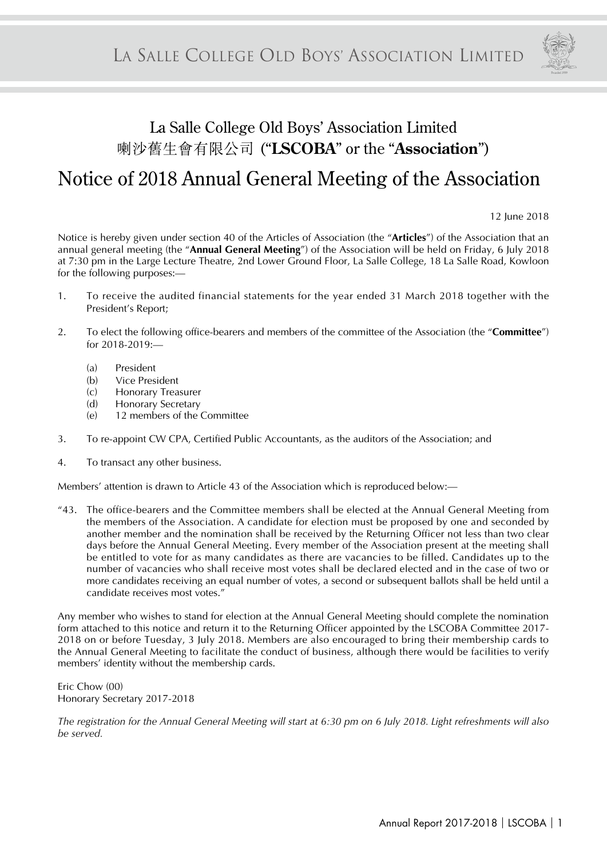

# La Salle College Old Boys' Association Limited 喇沙舊生會有限公司 ("**LSCOBA**" or the "**Association**") Notice of 2018 Annual General Meeting of the Association

12 June 2018

Notice is hereby given under section 40 of the Articles of Association (the "**Articles**") of the Association that an annual general meeting (the "**Annual General Meeting**") of the Association will be held on Friday, 6 July 2018 at 7:30 pm in the Large Lecture Theatre, 2nd Lower Ground Floor, La Salle College, 18 La Salle Road, Kowloon for the following purposes:—

- 1. To receive the audited financial statements for the year ended 31 March 2018 together with the President's Report;
- 2. To elect the following office-bearers and members of the committee of the Association (the "**Committee**") for 2018-2019:—
	- (a) President
	- (b) Vice President
	- (c) Honorary Treasurer
	- (d) Honorary Secretary
	- (e) 12 members of the Committee
- 3. To re-appoint CW CPA, Certified Public Accountants, as the auditors of the Association; and
- 4. To transact any other business.

Members' attention is drawn to Article 43 of the Association which is reproduced below:—

"43. The office-bearers and the Committee members shall be elected at the Annual General Meeting from the members of the Association. A candidate for election must be proposed by one and seconded by another member and the nomination shall be received by the Returning Officer not less than two clear days before the Annual General Meeting. Every member of the Association present at the meeting shall be entitled to vote for as many candidates as there are vacancies to be filled. Candidates up to the number of vacancies who shall receive most votes shall be declared elected and in the case of two or more candidates receiving an equal number of votes, a second or subsequent ballots shall be held until a candidate receives most votes."

Any member who wishes to stand for election at the Annual General Meeting should complete the nomination form attached to this notice and return it to the Returning Officer appointed by the LSCOBA Committee 2017- 2018 on or before Tuesday, 3 July 2018. Members are also encouraged to bring their membership cards to the Annual General Meeting to facilitate the conduct of business, although there would be facilities to verify members' identity without the membership cards.

Eric Chow (00) Honorary Secretary 2017-2018

*The registration for the Annual General Meeting will start at 6:30 pm on 6 July 2018. Light refreshments will also be served.*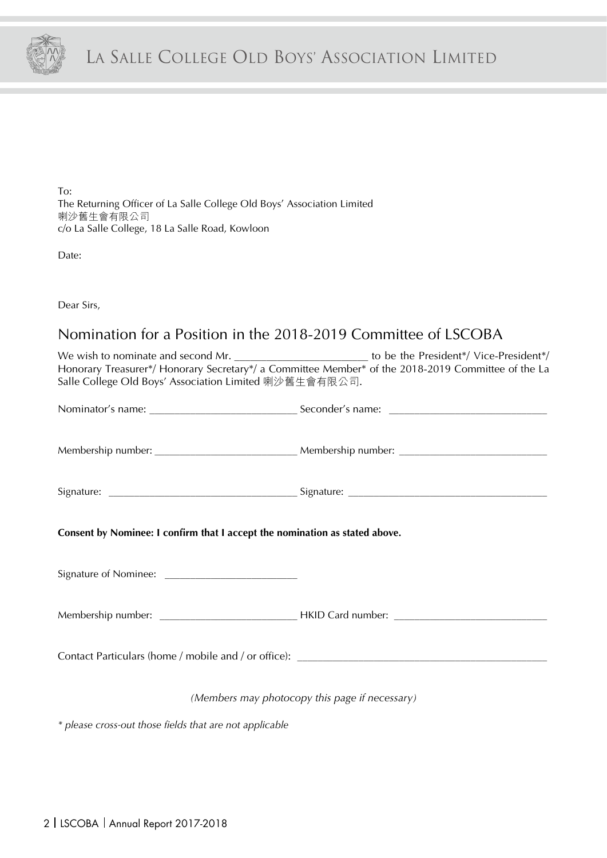

To: The Returning Officer of La Salle College Old Boys' Association Limited 喇沙舊生會有限公司 c/o La Salle College, 18 La Salle Road, Kowloon

Date:

Dear Sirs,

## Nomination for a Position in the 2018-2019 Committee of LSCOBA

|                                                                             | We wish to nominate and second Mr. $\frac{1}{2}$ committee Member* of the President*/ Vice-President*/<br>Honorary Treasurer*/ Honorary Secretary*/ a Committee Member* of the 2018-2019 Committee of the La |
|-----------------------------------------------------------------------------|--------------------------------------------------------------------------------------------------------------------------------------------------------------------------------------------------------------|
| Salle College Old Boys' Association Limited 喇沙舊生會有限公司.                      |                                                                                                                                                                                                              |
|                                                                             |                                                                                                                                                                                                              |
|                                                                             |                                                                                                                                                                                                              |
|                                                                             |                                                                                                                                                                                                              |
|                                                                             |                                                                                                                                                                                                              |
|                                                                             |                                                                                                                                                                                                              |
|                                                                             |                                                                                                                                                                                                              |
| Consent by Nominee: I confirm that I accept the nomination as stated above. |                                                                                                                                                                                                              |
|                                                                             |                                                                                                                                                                                                              |
|                                                                             |                                                                                                                                                                                                              |
|                                                                             |                                                                                                                                                                                                              |
|                                                                             |                                                                                                                                                                                                              |
|                                                                             |                                                                                                                                                                                                              |
|                                                                             |                                                                                                                                                                                                              |
|                                                                             | (Members may photocopy this page if necessary)                                                                                                                                                               |
| * please cross-out those fields that are not applicable                     |                                                                                                                                                                                                              |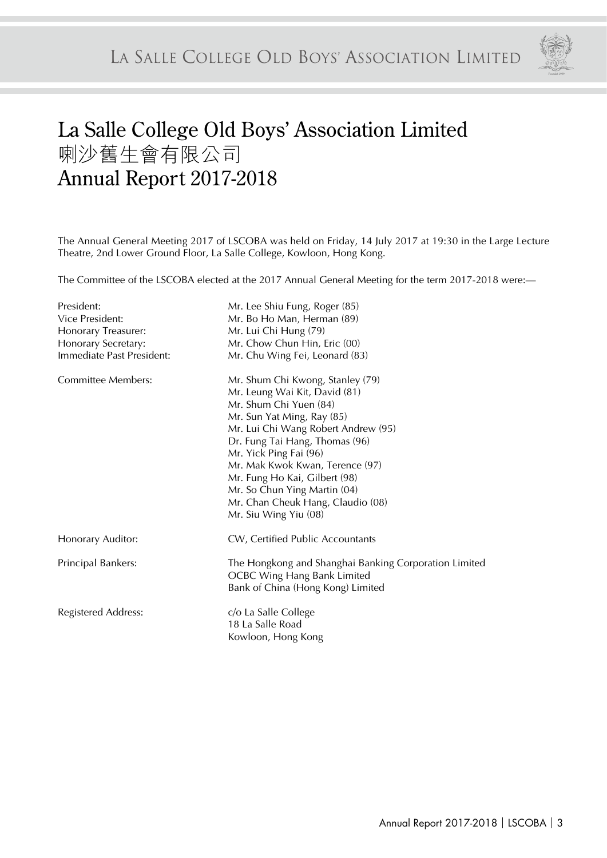

# La Salle College Old Boys' Association Limited 喇沙舊生會有限公司 Annual Report 2017-2018

The Annual General Meeting 2017 of LSCOBA was held on Friday, 14 July 2017 at 19:30 in the Large Lecture Theatre, 2nd Lower Ground Floor, La Salle College, Kowloon, Hong Kong.

The Committee of the LSCOBA elected at the 2017 Annual General Meeting for the term 2017-2018 were:—

| President:                 | Mr. Lee Shiu Fung, Roger (85)                                                               |
|----------------------------|---------------------------------------------------------------------------------------------|
| Vice President:            | Mr. Bo Ho Man, Herman (89)                                                                  |
| Honorary Treasurer:        | Mr. Lui Chi Hung (79)                                                                       |
| Honorary Secretary:        | Mr. Chow Chun Hin, Eric (00)                                                                |
| Immediate Past President:  | Mr. Chu Wing Fei, Leonard (83)                                                              |
| Committee Members:         | Mr. Shum Chi Kwong, Stanley (79)                                                            |
|                            | Mr. Leung Wai Kit, David (81)                                                               |
|                            | Mr. Shum Chi Yuen (84)                                                                      |
|                            | Mr. Sun Yat Ming, Ray (85)                                                                  |
|                            | Mr. Lui Chi Wang Robert Andrew (95)                                                         |
|                            | Dr. Fung Tai Hang, Thomas (96)                                                              |
|                            | Mr. Yick Ping Fai (96)                                                                      |
|                            | Mr. Mak Kwok Kwan, Terence (97)                                                             |
|                            | Mr. Fung Ho Kai, Gilbert (98)                                                               |
|                            | Mr. So Chun Ying Martin (04)                                                                |
|                            | Mr. Chan Cheuk Hang, Claudio (08)                                                           |
|                            | Mr. Siu Wing Yiu (08)                                                                       |
| Honorary Auditor:          | CW, Certified Public Accountants                                                            |
| Principal Bankers:         | The Hongkong and Shanghai Banking Corporation Limited<br><b>OCBC Wing Hang Bank Limited</b> |
|                            | Bank of China (Hong Kong) Limited                                                           |
| <b>Registered Address:</b> | c/o La Salle College                                                                        |
|                            | 18 La Salle Road                                                                            |
|                            | Kowloon, Hong Kong                                                                          |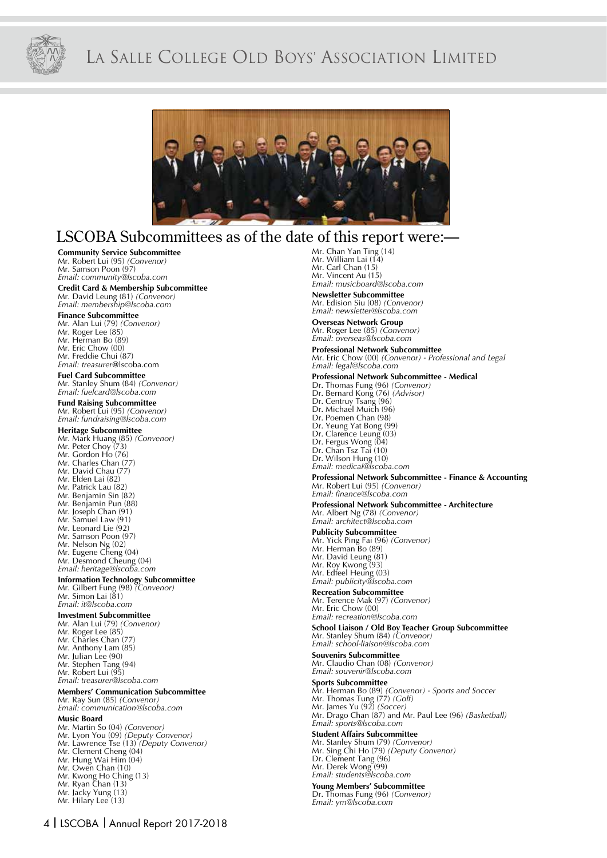

# LA SALLE COLLEGE OLD BOYS' ASSOCIATION LIMITED



### LSCOBA Subcommittees as of the date of this report were:

#### **Community Service Subcommittee**

Mr. Robert Lui (95) *(Convenor)* Mr. Samson Poon (97) *Email: community@lscoba.com*

#### **Credit Card & Membership Subcommittee**

Mr. David Leung (81) *(Convenor) Email: membership@lscoba.com*

**Finance Subcommittee** Mr. Alan Lui (79) *(Convenor)*

- Mr. Roger Lee (85)
- Mr. Herman Bo (89)
- Mr. Eric Chow (00)
- Mr. Freddie Chui (87)
- *Email: treasurer*@lscoba.com

**Fuel Card Subcommittee**

Mr. Stanley Shum (84) *(Convenor) Email: fuelcard@lscoba.com*

#### **Fund Raising Subcommittee**

Mr. Robert Lui (95) *(Convenor) Email: fundraising@lscoba.com*

**Heritage Subcommittee** Mr. Mark Huang (85) *(Convenor)* Mr. Peter Choy (73)

- 
- Mr. Gordon Ho (76)
- Mr. Charles Chan (77)
- Mr. David Chau (77)
- Mr. Elden Lai (82) Mr. Patrick Lau (82)
- Mr. Benjamin Sin (82)
- Mr. Benjamin Pun (88)
- Mr. Joseph Chan (91)
- Mr. Samuel Law (91)
- Mr. Leonard Lie (92)
- Mr. Samson Poon (97)
- Mr. Nelson Ng (02)
- Mr. Eugene Cheng (04)
- Mr. Desmond Cheung (04)
- *Email: heritage@lscoba.com*

# **Information Technology Subcommittee** Mr. Gilbert Fung (98) *(Convenor)* Mr. Simon Lai (81)

*Email: it@lscoba.com*

#### **Investment Subcommittee**

- 
- Mr. Alan Lui (79) *(Convenor)* Mr. Roger Lee (85)
- Mr. Charles Chan (7
- Mr. Anthony Lam (85)
- Mr. Julian Lee (90)
- Mr. Stephen Tang (94)
- Mr. Robert Lui (95)
- *Email: treasurer@lscoba.com*

#### **Members' Communication Subcommittee**

Mr. Ray Sun (85) *(Convenor) Email: communication@lscoba.com*

#### **Music Board**

- Mr. Martin So (04) *(Convenor)*
- Mr. Lyon You (09) *(Deputy Convenor)* Mr. Lawrence Tse (13) *(Deputy Convenor)*
- Mr. Clement Cheng (04)
- Mr. Hung Wai Him (04)
- Mr. Owen Chan (10)
- Mr. Kwong Ho Ching (13)
- Mr. Ryan Chan (13)
- Mr. Jacky Yung (13)
- Mr. Hilary Lee (13)

Mr. Chan Yan Ting (14) Mr. William Lai (14) Mr. Carl Chan (15) Mr. Vincent Au (15) *Email: musicboard@lscoba.com*

#### **Newsletter Subcommittee**

Mr. Edision Siu (08) *(Convenor) Email: newsletter@lscoba.com*

**Overseas Network Group** Mr. Roger Lee (85) *(Convenor)*

#### *Email: overseas@lscoba.com*

**Professional Network Subcommittee** Mr. Eric Chow (00) *(Convenor) - Professional and Legal*

*Email: legal@lscoba.com*

#### **Professional Network Subcommittee - Medical**

- Dr. Thomas Fung (96) *(Convenor)*
- Dr. Bernard Kong (76) *(Advisor)* Dr. Centruy Tsang (96)
- Dr. Michael Muich (96)
- Dr. Poemen Chan (98)
- Dr. Yeung Yat Bong (99)
- Dr. Clarence Leung (03)
- Dr. Fergus Wong (04)
- Dr. Chan Tsz Tai (10)
- Dr. Wilson Hung (10)

#### *Email: medical@lscoba.com*

#### **Professional Network Subcommittee - Finance & Accounting** Mr. Robert Lui (95) *(Convenor) Email: finance@lscoba.com*

**Professional Network Subcommittee - Architecture** Mr. Albert Ng (78) *(Convenor) Email: architect@lscoba.com*

#### **Publicity Subcommittee**  Mr. Yick Ping Fai (96) *(Convenor)* Mr. Herman Bo (89) Mr. David Leung (81) Mr. Roy Kwong (93) Mr. Edfeel Heung (03) *Email: publicity@lscoba.com*

**Recreation Subcommittee** Mr. Terence Mak (97) *(Convenor)* Mr. Eric Chow (00) *Email: recreation@lscoba.com*

**School Liaison / Old Boy Teacher Group Subcommittee** Mr. Stanley Shum (84) *(Convenor) Email: school-liaison@lscoba.com*

#### **Souvenirs Subcommittee** Mr. Claudio Chan (08) *(Convenor)*

*Email: souvenir@lscoba.com*

#### **Sports Subcommittee**

Mr. Herman Bo (89) *(Convenor) - Sports and Soccer* Mr. Thomas Tung (77) *(Golf)* Mr. James Yu (92) *(Soccer)* Mr. Drago Chan (87) and Mr. Paul Lee (96) *(Basketball) Email: sports@lscoba.com*

#### **Student Affairs Subcommittee**

Mr. Stanley Shum (79) *(Convenor)*  Mr. Sing Chi Ho (79) *(Deputy Convenor)* Dr. Clement Tang (96) Mr. Derek Wong (99) *Email: students@lscoba.com*

#### **Young Members' Subcommittee** Dr. Thomas Fung (96) *(Convenor)*

*Email: ym@lscoba.com*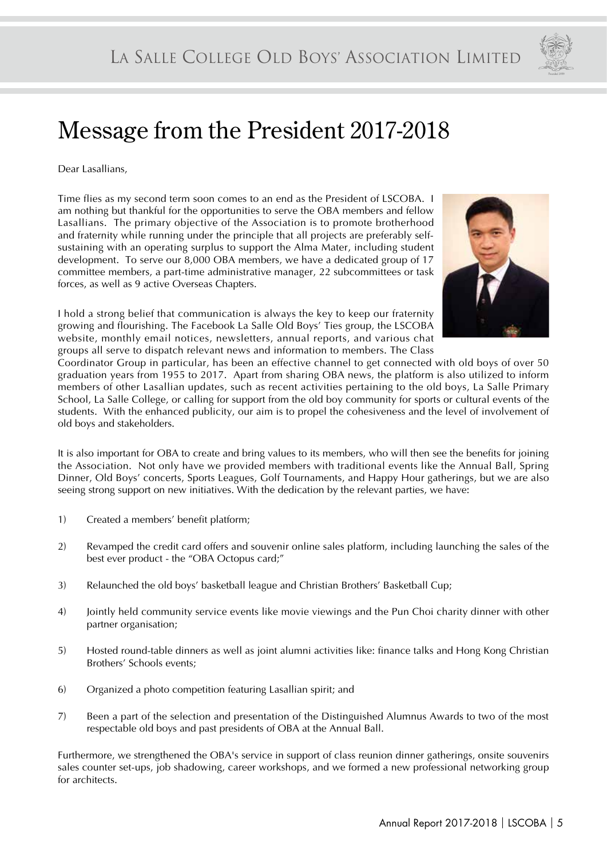

# Message from the President 2017-2018

Dear Lasallians,

Time flies as my second term soon comes to an end as the President of LSCOBA. I am nothing but thankful for the opportunities to serve the OBA members and fellow Lasallians. The primary objective of the Association is to promote brotherhood and fraternity while running under the principle that all projects are preferably selfsustaining with an operating surplus to support the Alma Mater, including student development. To serve our 8,000 OBA members, we have a dedicated group of 17 committee members, a part-time administrative manager, 22 subcommittees or task forces, as well as 9 active Overseas Chapters.

I hold a strong belief that communication is always the key to keep our fraternity growing and flourishing. The Facebook La Salle Old Boys' Ties group, the LSCOBA website, monthly email notices, newsletters, annual reports, and various chat groups all serve to dispatch relevant news and information to members. The Class



Coordinator Group in particular, has been an effective channel to get connected with old boys of over 50 graduation years from 1955 to 2017. Apart from sharing OBA news, the platform is also utilized to inform members of other Lasallian updates, such as recent activities pertaining to the old boys, La Salle Primary School, La Salle College, or calling for support from the old boy community for sports or cultural events of the students. With the enhanced publicity, our aim is to propel the cohesiveness and the level of involvement of old boys and stakeholders.

It is also important for OBA to create and bring values to its members, who will then see the benefits for joining the Association. Not only have we provided members with traditional events like the Annual Ball, Spring Dinner, Old Boys' concerts, Sports Leagues, Golf Tournaments, and Happy Hour gatherings, but we are also seeing strong support on new initiatives. With the dedication by the relevant parties, we have:

- 1) Created a members' benefit platform;
- 2) Revamped the credit card offers and souvenir online sales platform, including launching the sales of the best ever product - the "OBA Octopus card;"
- 3) Relaunched the old boys' basketball league and Christian Brothers' Basketball Cup;
- 4) Jointly held community service events like movie viewings and the Pun Choi charity dinner with other partner organisation;
- 5) Hosted round-table dinners as well as joint alumni activities like: finance talks and Hong Kong Christian Brothers' Schools events;
- 6) Organized a photo competition featuring Lasallian spirit; and
- 7) Been a part of the selection and presentation of the Distinguished Alumnus Awards to two of the most respectable old boys and past presidents of OBA at the Annual Ball.

Furthermore, we strengthened the OBA's service in support of class reunion dinner gatherings, onsite souvenirs sales counter set-ups, job shadowing, career workshops, and we formed a new professional networking group for architects.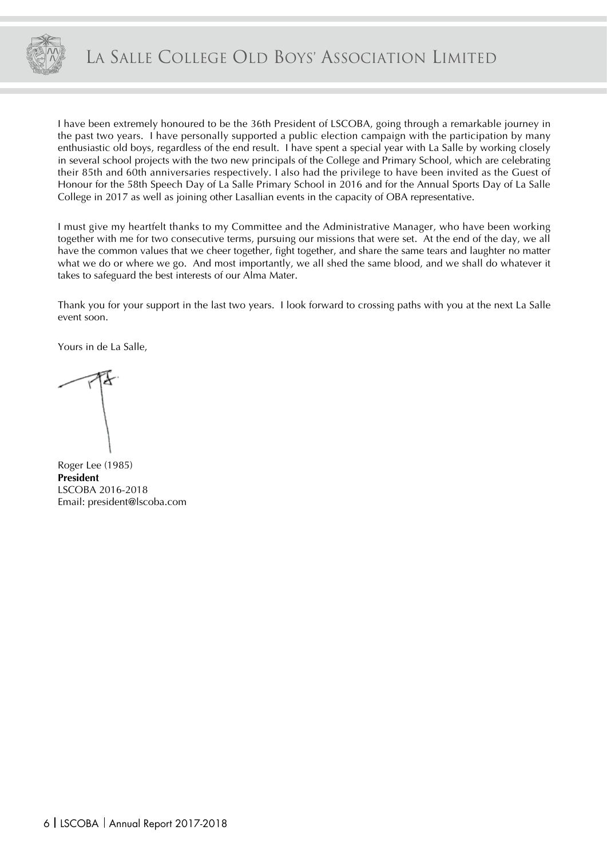

I have been extremely honoured to be the 36th President of LSCOBA, going through a remarkable journey in the past two years. I have personally supported a public election campaign with the participation by many enthusiastic old boys, regardless of the end result. I have spent a special year with La Salle by working closely in several school projects with the two new principals of the College and Primary School, which are celebrating their 85th and 60th anniversaries respectively. I also had the privilege to have been invited as the Guest of Honour for the 58th Speech Day of La Salle Primary School in 2016 and for the Annual Sports Day of La Salle College in 2017 as well as joining other Lasallian events in the capacity of OBA representative.

I must give my heartfelt thanks to my Committee and the Administrative Manager, who have been working together with me for two consecutive terms, pursuing our missions that were set. At the end of the day, we all have the common values that we cheer together, fight together, and share the same tears and laughter no matter what we do or where we go. And most importantly, we all shed the same blood, and we shall do whatever it takes to safeguard the best interests of our Alma Mater.

Thank you for your support in the last two years. I look forward to crossing paths with you at the next La Salle event soon.

Yours in de La Salle,

Roger Lee (1985) **President** LSCOBA 2016-2018 Email: president@lscoba.com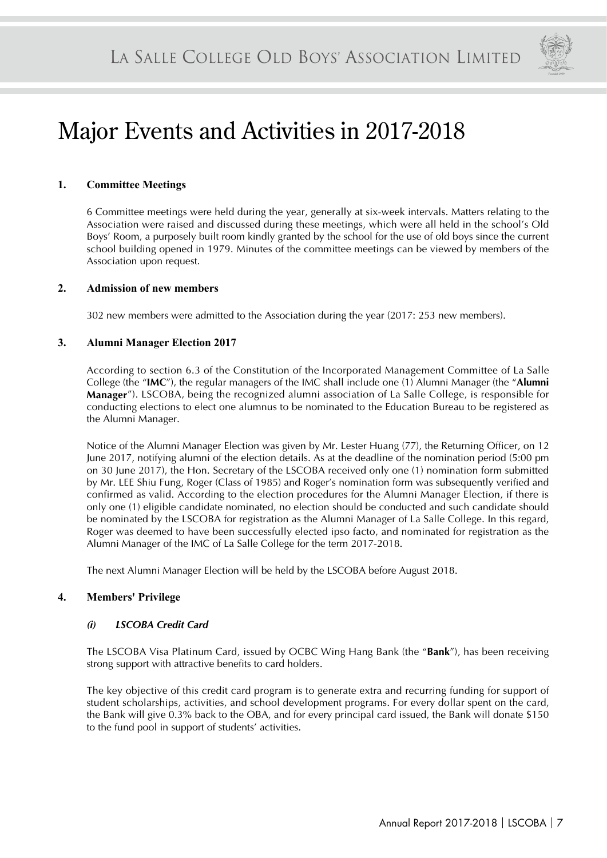

# Major Events and Activities in 2017-2018

#### **1. Committee Meetings**

6 Committee meetings were held during the year, generally at six-week intervals. Matters relating to the Association were raised and discussed during these meetings, which were all held in the school's Old Boys' Room, a purposely built room kindly granted by the school for the use of old boys since the current school building opened in 1979. Minutes of the committee meetings can be viewed by members of the Association upon request.

#### **2. Admission of new members**

302 new members were admitted to the Association during the year (2017: 253 new members).

#### **3. Alumni Manager Election 2017**

According to section 6.3 of the Constitution of the Incorporated Management Committee of La Salle College (the "**IMC**"), the regular managers of the IMC shall include one (1) Alumni Manager (the "**Alumni Manager**"). LSCOBA, being the recognized alumni association of La Salle College, is responsible for conducting elections to elect one alumnus to be nominated to the Education Bureau to be registered as the Alumni Manager.

Notice of the Alumni Manager Election was given by Mr. Lester Huang (77), the Returning Officer, on 12 June 2017, notifying alumni of the election details. As at the deadline of the nomination period (5:00 pm on 30 June 2017), the Hon. Secretary of the LSCOBA received only one (1) nomination form submitted by Mr. LEE Shiu Fung, Roger (Class of 1985) and Roger's nomination form was subsequently verified and confirmed as valid. According to the election procedures for the Alumni Manager Election, if there is only one (1) eligible candidate nominated, no election should be conducted and such candidate should be nominated by the LSCOBA for registration as the Alumni Manager of La Salle College. In this regard, Roger was deemed to have been successfully elected ipso facto, and nominated for registration as the Alumni Manager of the IMC of La Salle College for the term 2017-2018.

The next Alumni Manager Election will be held by the LSCOBA before August 2018.

#### **4. Members' Privilege**

#### *(i) LSCOBA Credit Card*

The LSCOBA Visa Platinum Card, issued by OCBC Wing Hang Bank (the "**Bank**"), has been receiving strong support with attractive benefits to card holders.

The key objective of this credit card program is to generate extra and recurring funding for support of student scholarships, activities, and school development programs. For every dollar spent on the card, the Bank will give 0.3% back to the OBA, and for every principal card issued, the Bank will donate \$150 to the fund pool in support of students' activities.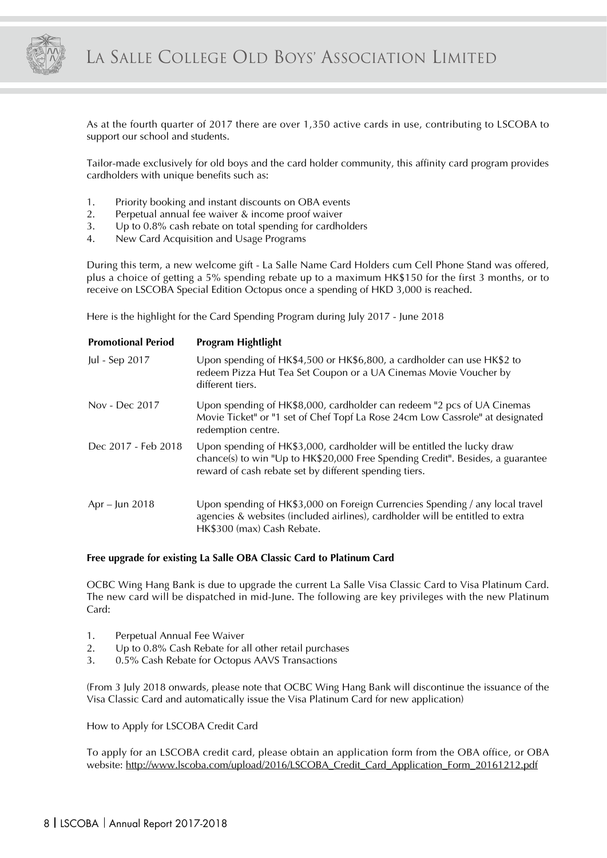

As at the fourth quarter of 2017 there are over 1,350 active cards in use, contributing to LSCOBA to support our school and students.

Tailor-made exclusively for old boys and the card holder community, this affinity card program provides cardholders with unique benefits such as:

- 1. Priority booking and instant discounts on OBA events
- 2. Perpetual annual fee waiver & income proof waiver
- 3. Up to 0.8% cash rebate on total spending for cardholders
- 4. New Card Acquisition and Usage Programs

During this term, a new welcome gift - La Salle Name Card Holders cum Cell Phone Stand was offered, plus a choice of getting a 5% spending rebate up to a maximum HK\$150 for the first 3 months, or to receive on LSCOBA Special Edition Octopus once a spending of HKD 3,000 is reached.

Here is the highlight for the Card Spending Program during July 2017 - June 2018

| <b>Promotional Period</b> | Program Hightlight                                                                                                                                                                                                 |
|---------------------------|--------------------------------------------------------------------------------------------------------------------------------------------------------------------------------------------------------------------|
| Jul - Sep 2017            | Upon spending of HK\$4,500 or HK\$6,800, a cardholder can use HK\$2 to<br>redeem Pizza Hut Tea Set Coupon or a UA Cinemas Movie Voucher by<br>different tiers.                                                     |
| Nov - Dec 2017            | Upon spending of HK\$8,000, cardholder can redeem "2 pcs of UA Cinemas<br>Movie Ticket" or "1 set of Chef Topf La Rose 24cm Low Cassrole" at designated<br>redemption centre.                                      |
| Dec 2017 - Feb 2018       | Upon spending of HK\$3,000, cardholder will be entitled the lucky draw<br>chance(s) to win "Up to HK\$20,000 Free Spending Credit". Besides, a guarantee<br>reward of cash rebate set by different spending tiers. |
| Apr – Jun 2018            | Upon spending of HK\$3,000 on Foreign Currencies Spending / any local travel<br>agencies & websites (included airlines), cardholder will be entitled to extra<br>HK\$300 (max) Cash Rebate.                        |

#### **Free upgrade for existing La Salle OBA Classic Card to Platinum Card**

OCBC Wing Hang Bank is due to upgrade the current La Salle Visa Classic Card to Visa Platinum Card. The new card will be dispatched in mid-June. The following are key privileges with the new Platinum Card:

- 1. Perpetual Annual Fee Waiver
- 2. Up to 0.8% Cash Rebate for all other retail purchases
- 3. 0.5% Cash Rebate for Octopus AAVS Transactions

(From 3 July 2018 onwards, please note that OCBC Wing Hang Bank will discontinue the issuance of the Visa Classic Card and automatically issue the Visa Platinum Card for new application)

How to Apply for LSCOBA Credit Card

To apply for an LSCOBA credit card, please obtain an application form from the OBA office, or OBA website: http://www.lscoba.com/upload/2016/LSCOBA\_Credit\_Card\_Application\_Form\_20161212.pdf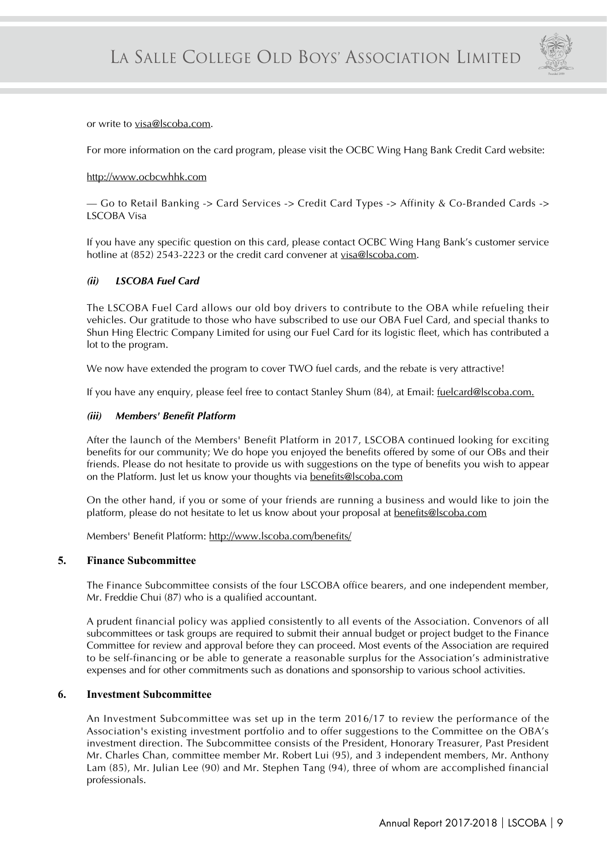

or write to visa@lscoba.com.

For more information on the card program, please visit the OCBC Wing Hang Bank Credit Card website:

#### http://www.ocbcwhhk.com

— Go to Retail Banking -> Card Services -> Credit Card Types -> Affinity & Co-Branded Cards -> LSCOBA Visa

If you have any specific question on this card, please contact OCBC Wing Hang Bank's customer service hotline at (852) 2543-2223 or the credit card convener at visa@lscoba.com.

#### *(ii) LSCOBA Fuel Card*

The LSCOBA Fuel Card allows our old boy drivers to contribute to the OBA while refueling their vehicles. Our gratitude to those who have subscribed to use our OBA Fuel Card, and special thanks to Shun Hing Electric Company Limited for using our Fuel Card for its logistic fleet, which has contributed a lot to the program.

We now have extended the program to cover TWO fuel cards, and the rebate is very attractive!

If you have any enquiry, please feel free to contact Stanley Shum (84), at Email: fuelcard@lscoba.com.

#### *(iii) Members' Benefit Platform*

After the launch of the Members' Benefit Platform in 2017, LSCOBA continued looking for exciting benefits for our community; We do hope you enjoyed the benefits offered by some of our OBs and their friends. Please do not hesitate to provide us with suggestions on the type of benefits you wish to appear on the Platform. Just let us know your thoughts via benefits@lscoba.com

On the other hand, if you or some of your friends are running a business and would like to join the platform, please do not hesitate to let us know about your proposal at benefits@lscoba.com

Members' Benefit Platform: http://www.lscoba.com/benefits/

#### **5. Finance Subcommittee**

The Finance Subcommittee consists of the four LSCOBA office bearers, and one independent member, Mr. Freddie Chui (87) who is a qualified accountant.

A prudent financial policy was applied consistently to all events of the Association. Convenors of all subcommittees or task groups are required to submit their annual budget or project budget to the Finance Committee for review and approval before they can proceed. Most events of the Association are required to be self-financing or be able to generate a reasonable surplus for the Association's administrative expenses and for other commitments such as donations and sponsorship to various school activities.

#### **6. Investment Subcommittee**

An Investment Subcommittee was set up in the term 2016/17 to review the performance of the Association's existing investment portfolio and to offer suggestions to the Committee on the OBA's investment direction. The Subcommittee consists of the President, Honorary Treasurer, Past President Mr. Charles Chan, committee member Mr. Robert Lui (95), and 3 independent members, Mr. Anthony Lam (85), Mr. Julian Lee (90) and Mr. Stephen Tang (94), three of whom are accomplished financial professionals.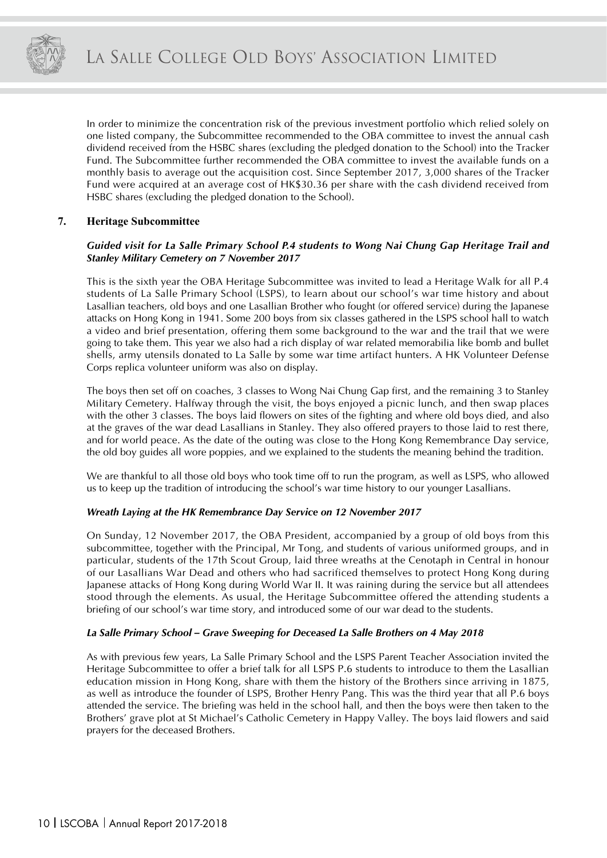

In order to minimize the concentration risk of the previous investment portfolio which relied solely on one listed company, the Subcommittee recommended to the OBA committee to invest the annual cash dividend received from the HSBC shares (excluding the pledged donation to the School) into the Tracker Fund. The Subcommittee further recommended the OBA committee to invest the available funds on a monthly basis to average out the acquisition cost. Since September 2017, 3,000 shares of the Tracker Fund were acquired at an average cost of HK\$30.36 per share with the cash dividend received from HSBC shares (excluding the pledged donation to the School).

#### **7. Heritage Subcommittee**

#### *Guided visit for La Salle Primary School P.4 students to Wong Nai Chung Gap Heritage Trail and Stanley Military Cemetery on 7 November 2017*

This is the sixth year the OBA Heritage Subcommittee was invited to lead a Heritage Walk for all P.4 students of La Salle Primary School (LSPS), to learn about our school's war time history and about Lasallian teachers, old boys and one Lasallian Brother who fought (or offered service) during the Japanese attacks on Hong Kong in 1941. Some 200 boys from six classes gathered in the LSPS school hall to watch a video and brief presentation, offering them some background to the war and the trail that we were going to take them. This year we also had a rich display of war related memorabilia like bomb and bullet shells, army utensils donated to La Salle by some war time artifact hunters. A HK Volunteer Defense Corps replica volunteer uniform was also on display.

The boys then set off on coaches, 3 classes to Wong Nai Chung Gap first, and the remaining 3 to Stanley Military Cemetery. Halfway through the visit, the boys enjoyed a picnic lunch, and then swap places with the other 3 classes. The boys laid flowers on sites of the fighting and where old boys died, and also at the graves of the war dead Lasallians in Stanley. They also offered prayers to those laid to rest there, and for world peace. As the date of the outing was close to the Hong Kong Remembrance Day service, the old boy guides all wore poppies, and we explained to the students the meaning behind the tradition.

We are thankful to all those old boys who took time off to run the program, as well as LSPS, who allowed us to keep up the tradition of introducing the school's war time history to our younger Lasallians.

#### *Wreath Laying at the HK Remembrance Day Service on 12 November 2017*

On Sunday, 12 November 2017, the OBA President, accompanied by a group of old boys from this subcommittee, together with the Principal, Mr Tong, and students of various uniformed groups, and in particular, students of the 17th Scout Group, laid three wreaths at the Cenotaph in Central in honour of our Lasallians War Dead and others who had sacrificed themselves to protect Hong Kong during Japanese attacks of Hong Kong during World War II. It was raining during the service but all attendees stood through the elements. As usual, the Heritage Subcommittee offered the attending students a briefing of our school's war time story, and introduced some of our war dead to the students.

#### *La Salle Primary School – Grave Sweeping for Deceased La Salle Brothers on 4 May 2018*

As with previous few years, La Salle Primary School and the LSPS Parent Teacher Association invited the Heritage Subcommittee to offer a brief talk for all LSPS P.6 students to introduce to them the Lasallian education mission in Hong Kong, share with them the history of the Brothers since arriving in 1875, as well as introduce the founder of LSPS, Brother Henry Pang. This was the third year that all P.6 boys attended the service. The briefing was held in the school hall, and then the boys were then taken to the Brothers' grave plot at St Michael's Catholic Cemetery in Happy Valley. The boys laid flowers and said prayers for the deceased Brothers.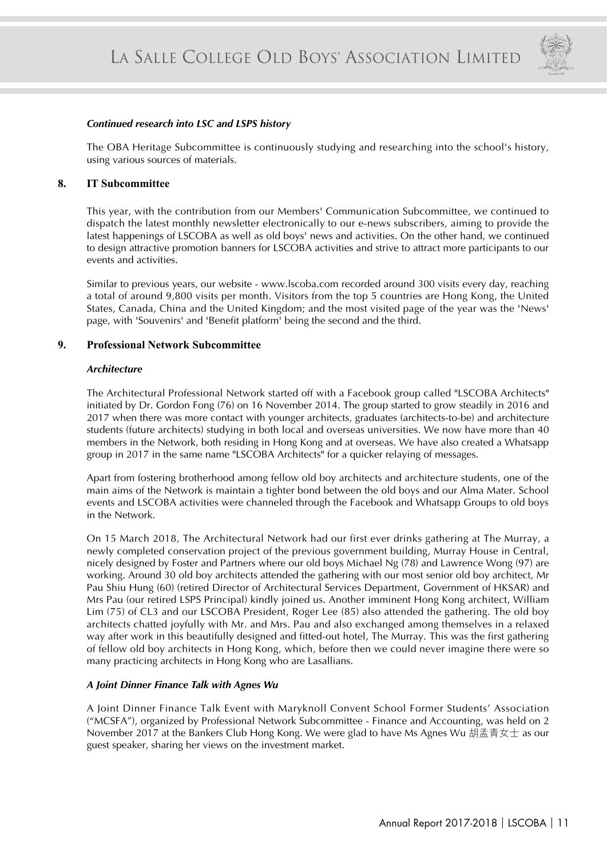

#### *Continued research into LSC and LSPS history*

The OBA Heritage Subcommittee is continuously studying and researching into the school's history, using various sources of materials.

#### **8. IT Subcommittee**

This year, with the contribution from our Members' Communication Subcommittee, we continued to dispatch the latest monthly newsletter electronically to our e-news subscribers, aiming to provide the latest happenings of LSCOBA as well as old boys' news and activities. On the other hand, we continued to design attractive promotion banners for LSCOBA activities and strive to attract more participants to our events and activities.

Similar to previous years, our website - www.lscoba.com recorded around 300 visits every day, reaching a total of around 9,800 visits per month. Visitors from the top 5 countries are Hong Kong, the United States, Canada, China and the United Kingdom; and the most visited page of the year was the 'News' page, with 'Souvenirs' and 'Benefit platform' being the second and the third.

#### **9. Professional Network Subcommittee**

#### *Architecture*

The Architectural Professional Network started off with a Facebook group called "LSCOBA Architects" initiated by Dr. Gordon Fong (76) on 16 November 2014. The group started to grow steadily in 2016 and 2017 when there was more contact with younger architects, graduates (architects-to-be) and architecture students (future architects) studying in both local and overseas universities. We now have more than 40 members in the Network, both residing in Hong Kong and at overseas. We have also created a Whatsapp group in 2017 in the same name "LSCOBA Architects" for a quicker relaying of messages.

Apart from fostering brotherhood among fellow old boy architects and architecture students, one of the main aims of the Network is maintain a tighter bond between the old boys and our Alma Mater. School events and LSCOBA activities were channeled through the Facebook and Whatsapp Groups to old boys in the Network.

On 15 March 2018, The Architectural Network had our first ever drinks gathering at The Murray, a newly completed conservation project of the previous government building, Murray House in Central, nicely designed by Foster and Partners where our old boys Michael Ng (78) and Lawrence Wong (97) are working. Around 30 old boy architects attended the gathering with our most senior old boy architect, Mr Pau Shiu Hung (60) (retired Director of Architectural Services Department, Government of HKSAR) and Mrs Pau (our retired LSPS Principal) kindly joined us. Another imminent Hong Kong architect, William Lim (75) of CL3 and our LSCOBA President, Roger Lee (85) also attended the gathering. The old boy architects chatted joyfully with Mr. and Mrs. Pau and also exchanged among themselves in a relaxed way after work in this beautifully designed and fitted-out hotel, The Murray. This was the first gathering of fellow old boy architects in Hong Kong, which, before then we could never imagine there were so many practicing architects in Hong Kong who are Lasallians.

#### *A Joint Dinner Finance Talk with Agnes Wu*

A Joint Dinner Finance Talk Event with Maryknoll Convent School Former Students' Association ("MCSFA"), organized by Professional Network Subcommittee - Finance and Accounting, was held on 2 November 2017 at the Bankers Club Hong Kong. We were glad to have Ms Agnes Wu 胡孟青女士 as our guest speaker, sharing her views on the investment market.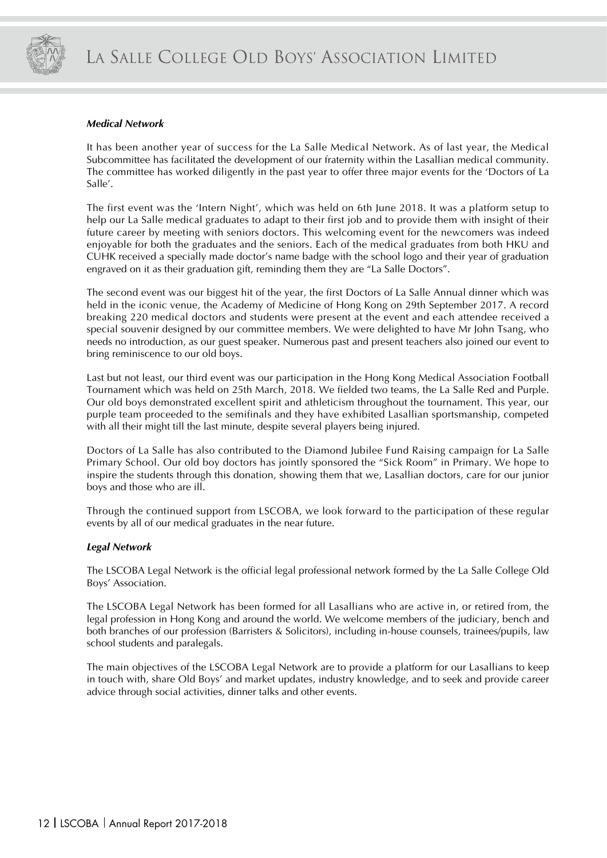

#### *Medical Network*

It has been another year of success for the La Salle Medical Network. As of last year, the Medical Subcommittee has facilitated the development of our fraternity within the Lasallian medical community. The committee has worked diligently in the past year to offer three major events for the 'Doctors of La Salle'.

The first event was the 'Intern Night', which was held on 6th June 2018. It was a platform setup to help our La Salle medical graduates to adapt to their first job and to provide them with insight of their future career by meeting with seniors doctors. This welcoming event for the newcomers was indeed enjoyable for both the graduates and the seniors. Each of the medical graduates from both HKU and CUHK received a specially made doctor's name badge with the school logo and their year of graduation engraved on it as their graduation gift, reminding them they are "La Salle Doctors".

The second event was our biggest hit of the year, the first Doctors of La Salle Annual dinner which was held in the iconic venue, the Academy of Medicine of Hong Kong on 29th September 2017. A record breaking 220 medical doctors and students were present at the event and each attendee received a special souvenir designed by our committee members. We were delighted to have Mr John Tsang, who needs no introduction, as our guest speaker. Numerous past and present teachers also joined our event to bring reminiscence to our old boys.

Last but not least, our third event was our participation in the Hong Kong Medical Association Football Tournament which was held on 25th March, 2018. We fielded two teams, the La Salle Red and Purple. Our old boys demonstrated excellent spirit and athleticism throughout the tournament. This year, our purple team proceeded to the semifinals and they have exhibited Lasallian sportsmanship, competed with all their might till the last minute, despite several players being injured.

Doctors of La Salle has also contributed to the Diamond Jubilee Fund Raising campaign for La Salle Primary School. Our old boy doctors has jointly sponsored the "Sick Room" in Primary. We hope to inspire the students through this donation, showing them that we, Lasallian doctors, care for our junior boys and those who are ill.

Through the continued support from LSCOBA, we look forward to the participation of these regular events by all of our medical graduates in the near future.

#### *Legal Network*

The LSCOBA Legal Network is the official legal professional network formed by the La Salle College Old Boys' Association.

The LSCOBA Legal Network has been formed for all Lasallians who are active in, or retired from, the legal profession in Hong Kong and around the world. We welcome members of the judiciary, bench and both branches of our profession (Barristers & Solicitors), including in-house counsels, trainees/pupils, law school students and paralegals.

The main objectives of the LSCOBA Legal Network are to provide a platform for our Lasallians to keep in touch with, share Old Boys' and market updates, industry knowledge, and to seek and provide career advice through social activities, dinner talks and other events.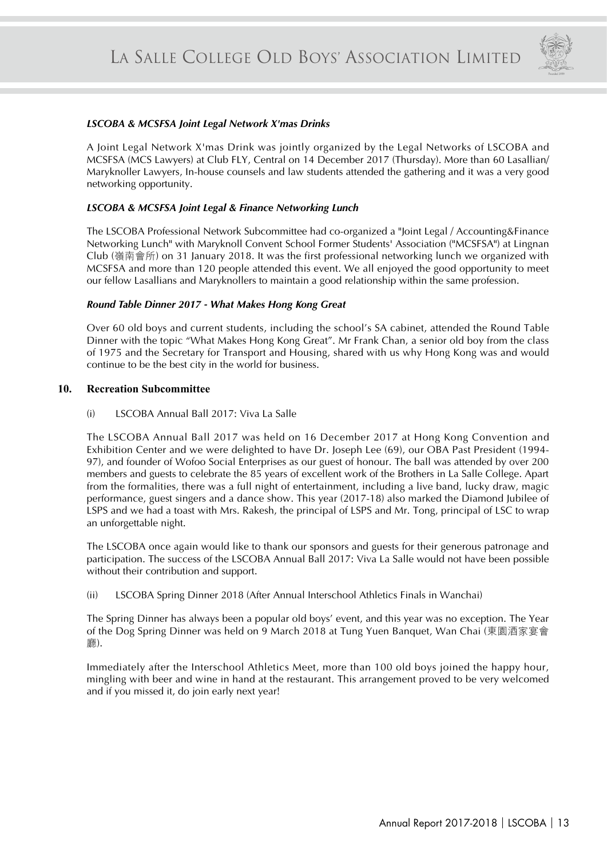

#### *LSCOBA & MCSFSA Joint Legal Network X'mas Drinks*

A Joint Legal Network X'mas Drink was jointly organized by the Legal Networks of LSCOBA and MCSFSA (MCS Lawyers) at Club FLY, Central on 14 December 2017 (Thursday). More than 60 Lasallian/ Maryknoller Lawyers, In-house counsels and law students attended the gathering and it was a very good networking opportunity.

#### *LSCOBA & MCSFSA Joint Legal & Finance Networking Lunch*

The LSCOBA Professional Network Subcommittee had co-organized a "Joint Legal / Accounting&Finance Networking Lunch" with Maryknoll Convent School Former Students' Association ("MCSFSA") at Lingnan Club (嶺南會所) on 31 January 2018. It was the first professional networking lunch we organized with MCSFSA and more than 120 people attended this event. We all enjoyed the good opportunity to meet our fellow Lasallians and Maryknollers to maintain a good relationship within the same profession.

#### *Round Table Dinner 2017 - What Makes Hong Kong Great*

Over 60 old boys and current students, including the school's SA cabinet, attended the Round Table Dinner with the topic "What Makes Hong Kong Great". Mr Frank Chan, a senior old boy from the class of 1975 and the Secretary for Transport and Housing, shared with us why Hong Kong was and would continue to be the best city in the world for business.

#### **10. Recreation Subcommittee**

(i) LSCOBA Annual Ball 2017: Viva La Salle

The LSCOBA Annual Ball 2017 was held on 16 December 2017 at Hong Kong Convention and Exhibition Center and we were delighted to have Dr. Joseph Lee (69), our OBA Past President (1994- 97), and founder of Wofoo Social Enterprises as our guest of honour. The ball was attended by over 200 members and guests to celebrate the 85 years of excellent work of the Brothers in La Salle College. Apart from the formalities, there was a full night of entertainment, including a live band, lucky draw, magic performance, guest singers and a dance show. This year (2017-18) also marked the Diamond Jubilee of LSPS and we had a toast with Mrs. Rakesh, the principal of LSPS and Mr. Tong, principal of LSC to wrap an unforgettable night.

The LSCOBA once again would like to thank our sponsors and guests for their generous patronage and participation. The success of the LSCOBA Annual Ball 2017: Viva La Salle would not have been possible without their contribution and support.

(ii) LSCOBA Spring Dinner 2018 (After Annual Interschool Athletics Finals in Wanchai)

The Spring Dinner has always been a popular old boys' event, and this year was no exception. The Year of the Dog Spring Dinner was held on 9 March 2018 at Tung Yuen Banquet, Wan Chai (東園酒家宴會 廳).

Immediately after the Interschool Athletics Meet, more than 100 old boys joined the happy hour, mingling with beer and wine in hand at the restaurant. This arrangement proved to be very welcomed and if you missed it, do join early next year!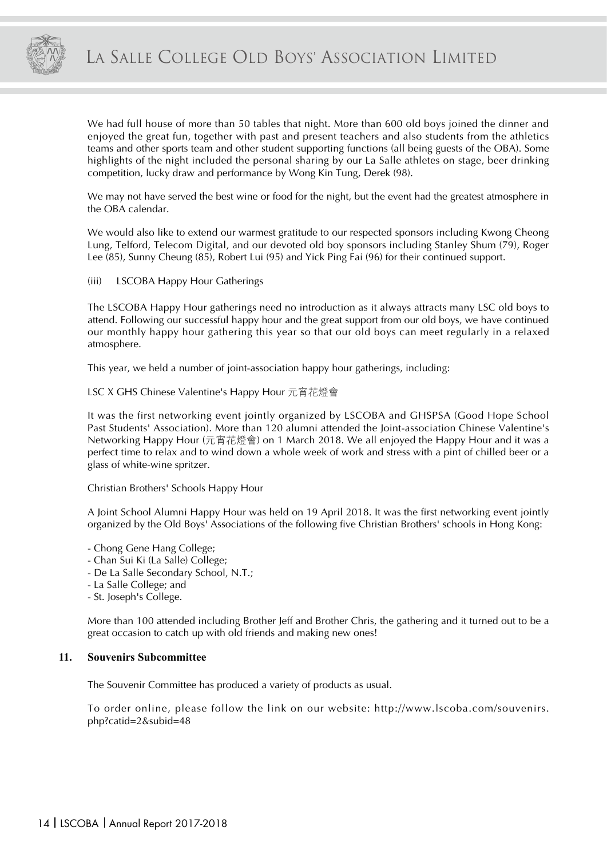

We had full house of more than 50 tables that night. More than 600 old boys joined the dinner and enjoyed the great fun, together with past and present teachers and also students from the athletics teams and other sports team and other student supporting functions (all being guests of the OBA). Some highlights of the night included the personal sharing by our La Salle athletes on stage, beer drinking competition, lucky draw and performance by Wong Kin Tung, Derek (98).

We may not have served the best wine or food for the night, but the event had the greatest atmosphere in the OBA calendar.

We would also like to extend our warmest gratitude to our respected sponsors including Kwong Cheong Lung, Telford, Telecom Digital, and our devoted old boy sponsors including Stanley Shum (79), Roger Lee (85), Sunny Cheung (85), Robert Lui (95) and Yick Ping Fai (96) for their continued support.

(iii) LSCOBA Happy Hour Gatherings

The LSCOBA Happy Hour gatherings need no introduction as it always attracts many LSC old boys to attend. Following our successful happy hour and the great support from our old boys, we have continued our monthly happy hour gathering this year so that our old boys can meet regularly in a relaxed atmosphere.

This year, we held a number of joint-association happy hour gatherings, including:

#### LSC X GHS Chinese Valentine's Happy Hour 元宵花燈會

It was the first networking event jointly organized by LSCOBA and GHSPSA (Good Hope School Past Students' Association). More than 120 alumni attended the Joint-association Chinese Valentine's Networking Happy Hour (元宵花燈會) on 1 March 2018. We all enjoyed the Happy Hour and it was a perfect time to relax and to wind down a whole week of work and stress with a pint of chilled beer or a glass of white-wine spritzer.

#### Christian Brothers' Schools Happy Hour

A Joint School Alumni Happy Hour was held on 19 April 2018. It was the first networking event jointly organized by the Old Boys' Associations of the following five Christian Brothers' schools in Hong Kong:

- Chong Gene Hang College;
- Chan Sui Ki (La Salle) College;
- De La Salle Secondary School, N.T.;
- La Salle College; and
- St. Joseph's College.

More than 100 attended including Brother Jeff and Brother Chris, the gathering and it turned out to be a great occasion to catch up with old friends and making new ones!

#### **11. Souvenirs Subcommittee**

The Souvenir Committee has produced a variety of products as usual.

To order online, please follow the link on our website: http://www.lscoba.com/souvenirs. php?catid=2&subid=48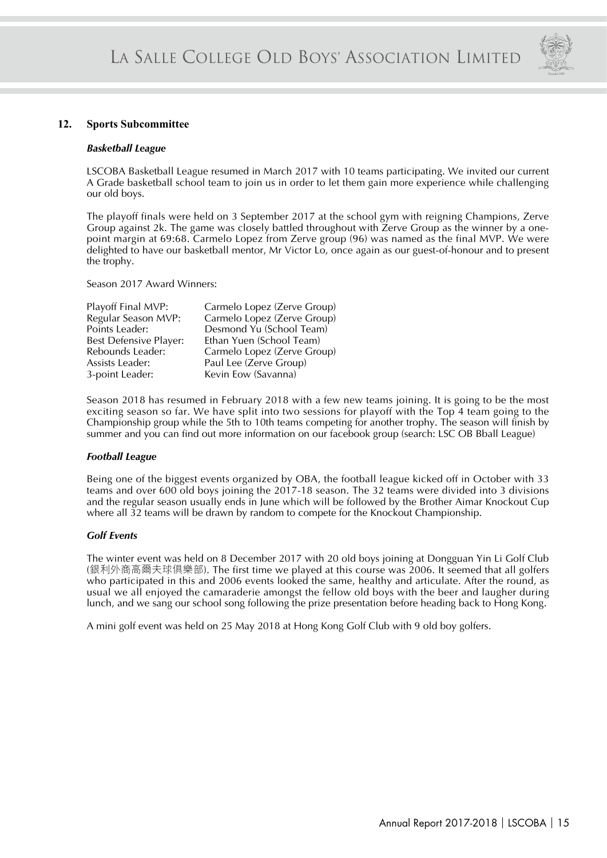

#### **12. Sports Subcommittee**

#### *Basketball League*

LSCOBA Basketball League resumed in March 2017 with 10 teams participating. We invited our current A Grade basketball school team to join us in order to let them gain more experience while challenging our old boys.

The playoff finals were held on 3 September 2017 at the school gym with reigning Champions, Zerve Group against 2k. The game was closely battled throughout with Zerve Group as the winner by a onepoint margin at 69:68. Carmelo Lopez from Zerve group (96) was named as the final MVP. We were delighted to have our basketball mentor, Mr Victor Lo, once again as our guest-of-honour and to present the trophy.

Season 2017 Award Winners:

| Playoff Final MVP:            | Carmelo Lopez (Zerve Group) |
|-------------------------------|-----------------------------|
| Regular Season MVP:           | Carmelo Lopez (Zerve Group) |
| Points Leader:                | Desmond Yu (School Team)    |
| <b>Best Defensive Player:</b> | Ethan Yuen (School Team)    |
| Rebounds Leader:              | Carmelo Lopez (Zerve Group) |
| Assists Leader:               | Paul Lee (Zerve Group)      |
| 3-point Leader:               | Kevin Eow (Savanna)         |

Season 2018 has resumed in February 2018 with a few new teams joining. It is going to be the most exciting season so far. We have split into two sessions for playoff with the Top 4 team going to the Championship group while the 5th to 10th teams competing for another trophy. The season will finish by summer and you can find out more information on our facebook group (search: LSC OB Bball League)

#### *Football League*

Being one of the biggest events organized by OBA, the football league kicked off in October with 33 teams and over 600 old boys joining the 2017-18 season. The 32 teams were divided into 3 divisions and the regular season usually ends in June which will be followed by the Brother Aimar Knockout Cup where all 32 teams will be drawn by random to compete for the Knockout Championship.

#### *Golf Events*

The winter event was held on 8 December 2017 with 20 old boys joining at Dongguan Yin Li Golf Club (銀利外商高爾夫球俱樂部). The first time we played at this course was 2006. It seemed that all golfers who participated in this and 2006 events looked the same, healthy and articulate. After the round, as usual we all enjoyed the camaraderie amongst the fellow old boys with the beer and laugher during lunch, and we sang our school song following the prize presentation before heading back to Hong Kong.

A mini golf event was held on 25 May 2018 at Hong Kong Golf Club with 9 old boy golfers.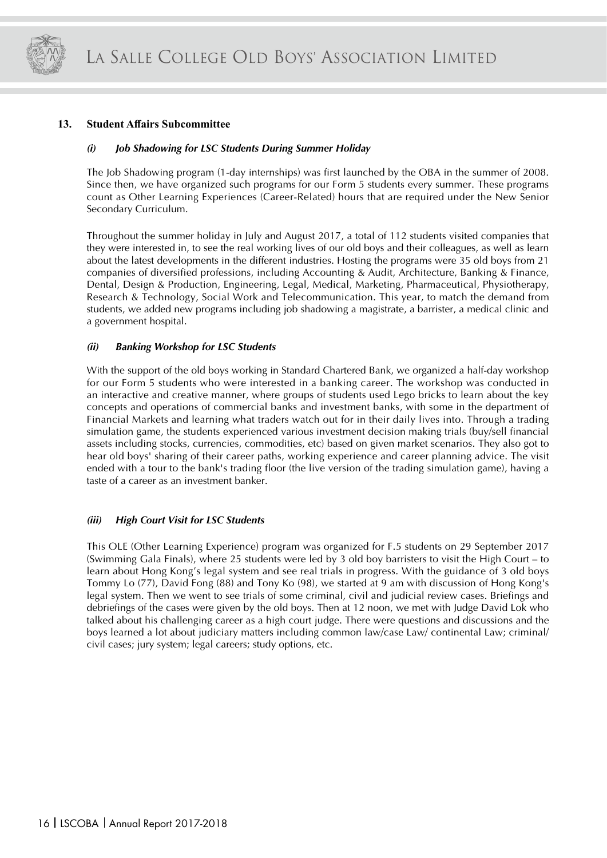

#### **13. Student Affairs Subcommittee**

#### *(i) Job Shadowing for LSC Students During Summer Holiday*

The Job Shadowing program (1-day internships) was first launched by the OBA in the summer of 2008. Since then, we have organized such programs for our Form 5 students every summer. These programs count as Other Learning Experiences (Career-Related) hours that are required under the New Senior Secondary Curriculum.

Throughout the summer holiday in July and August 2017, a total of 112 students visited companies that they were interested in, to see the real working lives of our old boys and their colleagues, as well as learn about the latest developments in the different industries. Hosting the programs were 35 old boys from 21 companies of diversified professions, including Accounting & Audit, Architecture, Banking & Finance, Dental, Design & Production, Engineering, Legal, Medical, Marketing, Pharmaceutical, Physiotherapy, Research & Technology, Social Work and Telecommunication. This year, to match the demand from students, we added new programs including job shadowing a magistrate, a barrister, a medical clinic and a government hospital.

#### *(ii) Banking Workshop for LSC Students*

With the support of the old boys working in Standard Chartered Bank, we organized a half-day workshop for our Form 5 students who were interested in a banking career. The workshop was conducted in an interactive and creative manner, where groups of students used Lego bricks to learn about the key concepts and operations of commercial banks and investment banks, with some in the department of Financial Markets and learning what traders watch out for in their daily lives into. Through a trading simulation game, the students experienced various investment decision making trials (buy/sell financial assets including stocks, currencies, commodities, etc) based on given market scenarios. They also got to hear old boys' sharing of their career paths, working experience and career planning advice. The visit ended with a tour to the bank's trading floor (the live version of the trading simulation game), having a taste of a career as an investment banker.

#### *(iii) High Court Visit for LSC Students*

This OLE (Other Learning Experience) program was organized for F.5 students on 29 September 2017 (Swimming Gala Finals), where 25 students were led by 3 old boy barristers to visit the High Court – to learn about Hong Kong's legal system and see real trials in progress. With the guidance of 3 old boys Tommy Lo (77), David Fong (88) and Tony Ko (98), we started at 9 am with discussion of Hong Kong's legal system. Then we went to see trials of some criminal, civil and judicial review cases. Briefings and debriefings of the cases were given by the old boys. Then at 12 noon, we met with Judge David Lok who talked about his challenging career as a high court judge. There were questions and discussions and the boys learned a lot about judiciary matters including common law/case Law/ continental Law; criminal/ civil cases; jury system; legal careers; study options, etc.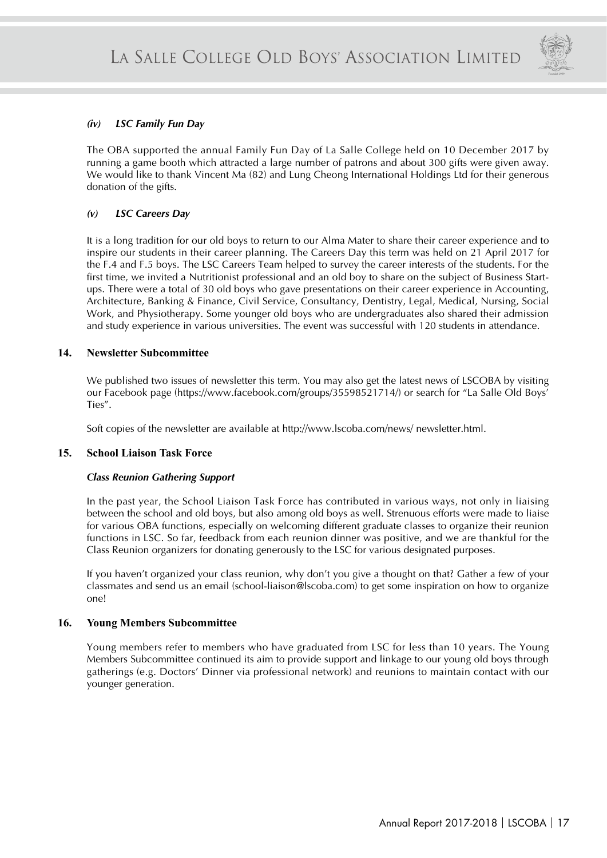

#### *(iv) LSC Family Fun Day*

The OBA supported the annual Family Fun Day of La Salle College held on 10 December 2017 by running a game booth which attracted a large number of patrons and about 300 gifts were given away. We would like to thank Vincent Ma (82) and Lung Cheong International Holdings Ltd for their generous donation of the gifts.

#### *(v) LSC Careers Day*

It is a long tradition for our old boys to return to our Alma Mater to share their career experience and to inspire our students in their career planning. The Careers Day this term was held on 21 April 2017 for the F.4 and F.5 boys. The LSC Careers Team helped to survey the career interests of the students. For the first time, we invited a Nutritionist professional and an old boy to share on the subject of Business Startups. There were a total of 30 old boys who gave presentations on their career experience in Accounting, Architecture, Banking & Finance, Civil Service, Consultancy, Dentistry, Legal, Medical, Nursing, Social Work, and Physiotherapy. Some younger old boys who are undergraduates also shared their admission and study experience in various universities. The event was successful with 120 students in attendance.

#### **14. Newsletter Subcommittee**

We published two issues of newsletter this term. You may also get the latest news of LSCOBA by visiting our Facebook page (https://www.facebook.com/groups/35598521714/) or search for "La Salle Old Boys' Ties".

Soft copies of the newsletter are available at http://www.lscoba.com/news/ newsletter.html.

#### **15. School Liaison Task Force**

#### *Class Reunion Gathering Support*

In the past year, the School Liaison Task Force has contributed in various ways, not only in liaising between the school and old boys, but also among old boys as well. Strenuous efforts were made to liaise for various OBA functions, especially on welcoming different graduate classes to organize their reunion functions in LSC. So far, feedback from each reunion dinner was positive, and we are thankful for the Class Reunion organizers for donating generously to the LSC for various designated purposes.

If you haven't organized your class reunion, why don't you give a thought on that? Gather a few of your classmates and send us an email (school-liaison@lscoba.com) to get some inspiration on how to organize one!

#### **16. Young Members Subcommittee**

Young members refer to members who have graduated from LSC for less than 10 years. The Young Members Subcommittee continued its aim to provide support and linkage to our young old boys through gatherings (e.g. Doctors' Dinner via professional network) and reunions to maintain contact with our younger generation.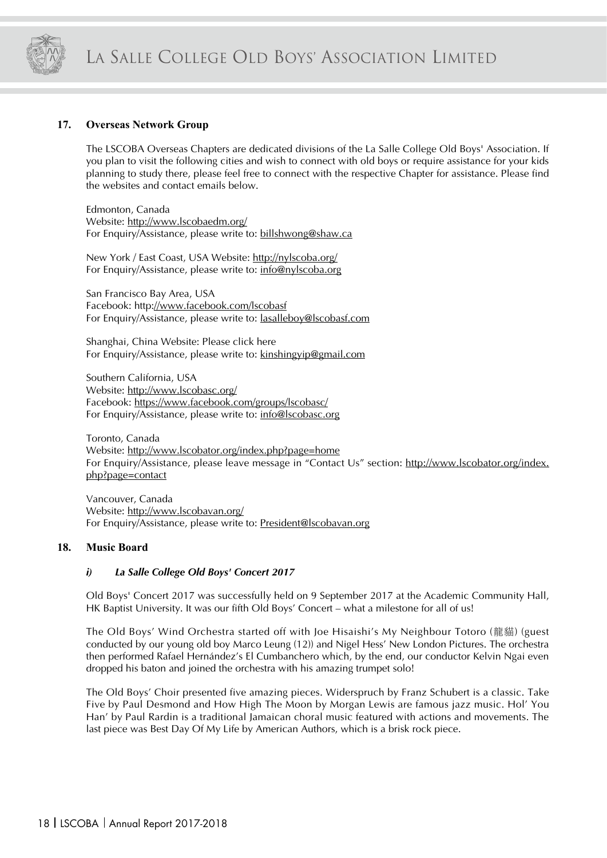

#### **17. Overseas Network Group**

The LSCOBA Overseas Chapters are dedicated divisions of the La Salle College Old Boys' Association. If you plan to visit the following cities and wish to connect with old boys or require assistance for your kids planning to study there, please feel free to connect with the respective Chapter for assistance. Please find the websites and contact emails below.

Edmonton, Canada Website: http://www.lscobaedm.org/ For Enquiry/Assistance, please write to: billshwong@shaw.ca

New York / East Coast, USA Website: http://nylscoba.org/ For Enquiry/Assistance, please write to: info@nylscoba.org

San Francisco Bay Area, USA Facebook: http://www.facebook.com/lscobasf For Enquiry/Assistance, please write to: lasalleboy@lscobasf.com

Shanghai, China Website: Please click here For Enquiry/Assistance, please write to: kinshingyip@gmail.com

Southern California, USA Website: http://www.lscobasc.org/ Facebook: https://www.facebook.com/groups/lscobasc/ For Enquiry/Assistance, please write to: info@lscobasc.org

Toronto, Canada Website: http://www.lscobator.org/index.php?page=home For Enquiry/Assistance, please leave message in "Contact Us" section: http://www.lscobator.org/index. php?page=contact

Vancouver, Canada Website: http://www.lscobavan.org/ For Enquiry/Assistance, please write to: President@lscobavan.org

#### **18. Music Board**

#### *i) La Salle College Old Boys' Concert 2017*

Old Boys' Concert 2017 was successfully held on 9 September 2017 at the Academic Community Hall, HK Baptist University. It was our fifth Old Boys' Concert – what a milestone for all of us!

The Old Boys' Wind Orchestra started off with Joe Hisaishi's My Neighbour Totoro (龍貓) (guest conducted by our young old boy Marco Leung (12)) and Nigel Hess' New London Pictures. The orchestra then performed Rafael Hernández's El Cumbanchero which, by the end, our conductor Kelvin Ngai even dropped his baton and joined the orchestra with his amazing trumpet solo!

The Old Boys' Choir presented five amazing pieces. Widerspruch by Franz Schubert is a classic. Take Five by Paul Desmond and How High The Moon by Morgan Lewis are famous jazz music. Hol' You Han' by Paul Rardin is a traditional Jamaican choral music featured with actions and movements. The last piece was Best Day Of My Life by American Authors, which is a brisk rock piece.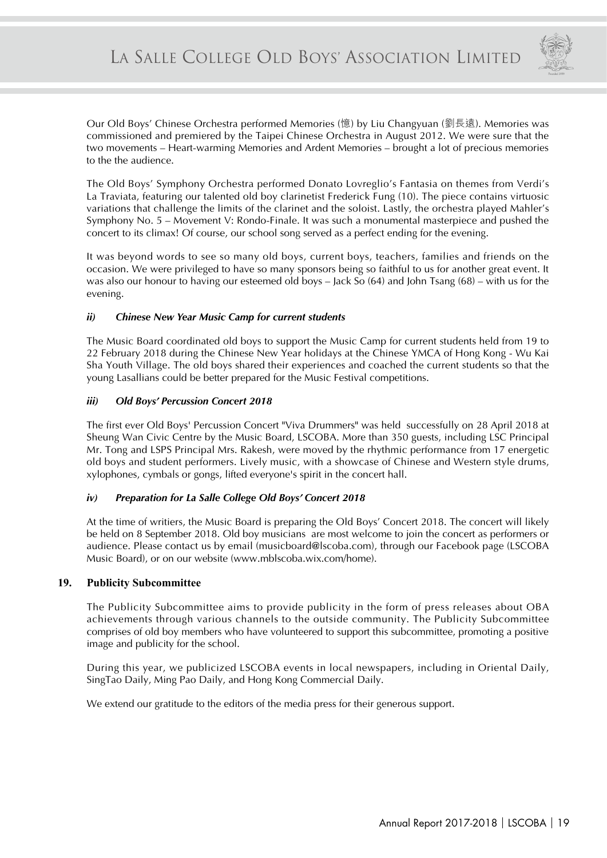

Our Old Boys' Chinese Orchestra performed Memories (憶) by Liu Changyuan (劉長遠). Memories was commissioned and premiered by the Taipei Chinese Orchestra in August 2012. We were sure that the two movements – Heart-warming Memories and Ardent Memories – brought a lot of precious memories to the the audience.

The Old Boys' Symphony Orchestra performed Donato Lovreglio's Fantasia on themes from Verdi's La Traviata, featuring our talented old boy clarinetist Frederick Fung (10). The piece contains virtuosic variations that challenge the limits of the clarinet and the soloist. Lastly, the orchestra played Mahler's Symphony No. 5 – Movement V: Rondo-Finale. It was such a monumental masterpiece and pushed the concert to its climax! Of course, our school song served as a perfect ending for the evening.

It was beyond words to see so many old boys, current boys, teachers, families and friends on the occasion. We were privileged to have so many sponsors being so faithful to us for another great event. It was also our honour to having our esteemed old boys – Jack So (64) and John Tsang (68) – with us for the evening.

#### *ii) Chinese New Year Music Camp for current students*

The Music Board coordinated old boys to support the Music Camp for current students held from 19 to 22 February 2018 during the Chinese New Year holidays at the Chinese YMCA of Hong Kong - Wu Kai Sha Youth Village. The old boys shared their experiences and coached the current students so that the young Lasallians could be better prepared for the Music Festival competitions.

#### *iii) Old Boys' Percussion Concert 2018*

The first ever Old Boys' Percussion Concert "Viva Drummers" was held successfully on 28 April 2018 at Sheung Wan Civic Centre by the Music Board, LSCOBA. More than 350 guests, including LSC Principal Mr. Tong and LSPS Principal Mrs. Rakesh, were moved by the rhythmic performance from 17 energetic old boys and student performers. Lively music, with a showcase of Chinese and Western style drums, xylophones, cymbals or gongs, lifted everyone's spirit in the concert hall.

#### *iv) Preparation for La Salle College Old Boys' Concert 2018*

At the time of writiers, the Music Board is preparing the Old Boys' Concert 2018. The concert will likely be held on 8 September 2018. Old boy musicians are most welcome to join the concert as performers or audience. Please contact us by email (musicboard@lscoba.com), through our Facebook page (LSCOBA Music Board), or on our website (www.mblscoba.wix.com/home).

#### **19. Publicity Subcommittee**

The Publicity Subcommittee aims to provide publicity in the form of press releases about OBA achievements through various channels to the outside community. The Publicity Subcommittee comprises of old boy members who have volunteered to support this subcommittee, promoting a positive image and publicity for the school.

During this year, we publicized LSCOBA events in local newspapers, including in Oriental Daily, SingTao Daily, Ming Pao Daily, and Hong Kong Commercial Daily.

We extend our gratitude to the editors of the media press for their generous support.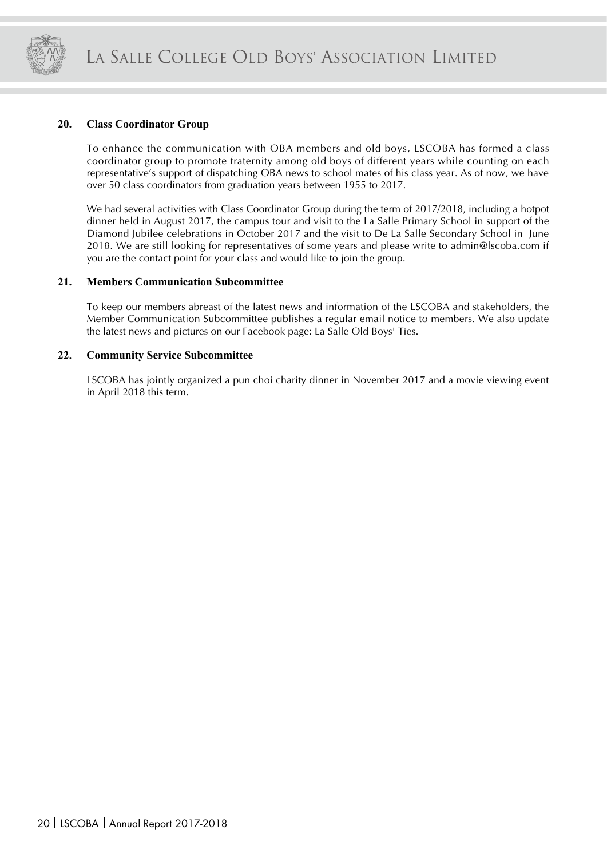

#### **20. Class Coordinator Group**

To enhance the communication with OBA members and old boys, LSCOBA has formed a class coordinator group to promote fraternity among old boys of different years while counting on each representative's support of dispatching OBA news to school mates of his class year. As of now, we have over 50 class coordinators from graduation years between 1955 to 2017.

We had several activities with Class Coordinator Group during the term of 2017/2018, including a hotpot dinner held in August 2017, the campus tour and visit to the La Salle Primary School in support of the Diamond Jubilee celebrations in October 2017 and the visit to De La Salle Secondary School in June 2018. We are still looking for representatives of some years and please write to admin@lscoba.com if you are the contact point for your class and would like to join the group.

#### **21. Members Communication Subcommittee**

To keep our members abreast of the latest news and information of the LSCOBA and stakeholders, the Member Communication Subcommittee publishes a regular email notice to members. We also update the latest news and pictures on our Facebook page: La Salle Old Boys' Ties.

#### **22. Community Service Subcommittee**

LSCOBA has jointly organized a pun choi charity dinner in November 2017 and a movie viewing event in April 2018 this term.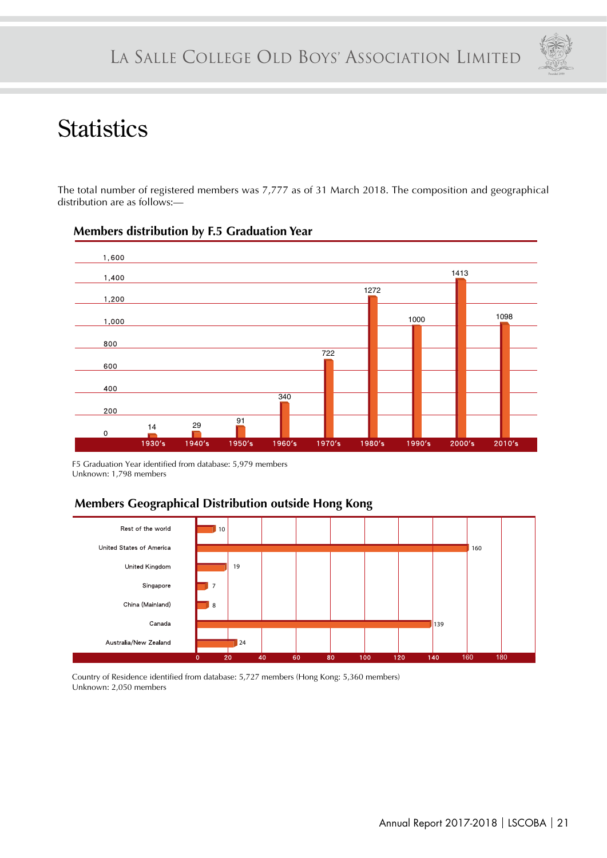

# **Statistics**

The total number of registered members was 7,777 as of 31 March 2018. The composition and geographical distribution are as follows:—



### **Members distribution by F.5 Graduation Year**

F5 Graduation Year identified from database: 5,979 members Unknown: 1,798 members

### **Members Geographical Distribution outside Hong Kong**



Country of Residence identified from database: 5,727 members (Hong Kong: 5,360 members) Unknown: 2,050 members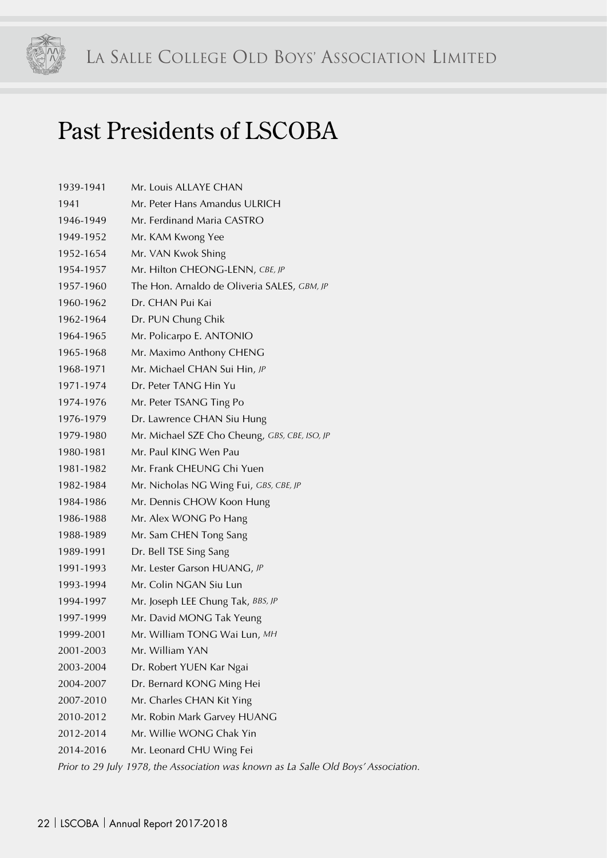

# Past Presidents of LSCOBA

| 1939-1941 | Mr. Louis ALLAYE CHAN                                                               |
|-----------|-------------------------------------------------------------------------------------|
| 1941      | Mr. Peter Hans Amandus ULRICH                                                       |
| 1946-1949 | Mr. Ferdinand Maria CASTRO                                                          |
| 1949-1952 | Mr. KAM Kwong Yee                                                                   |
| 1952-1654 | Mr. VAN Kwok Shing                                                                  |
| 1954-1957 | Mr. Hilton CHEONG-LENN, CBE, JP                                                     |
| 1957-1960 | The Hon. Arnaldo de Oliveria SALES, GBM, JP                                         |
| 1960-1962 | Dr. CHAN Pui Kai                                                                    |
| 1962-1964 | Dr. PUN Chung Chik                                                                  |
| 1964-1965 | Mr. Policarpo E. ANTONIO                                                            |
| 1965-1968 | Mr. Maximo Anthony CHENG                                                            |
| 1968-1971 | Mr. Michael CHAN Sui Hin, JP                                                        |
| 1971-1974 | Dr. Peter TANG Hin Yu                                                               |
| 1974-1976 | Mr. Peter TSANG Ting Po                                                             |
| 1976-1979 | Dr. Lawrence CHAN Siu Hung                                                          |
| 1979-1980 | Mr. Michael SZE Cho Cheung, GBS, CBE, ISO, JP                                       |
| 1980-1981 | Mr. Paul KING Wen Pau                                                               |
| 1981-1982 | Mr. Frank CHEUNG Chi Yuen                                                           |
| 1982-1984 | Mr. Nicholas NG Wing Fui, GBS, CBE, JP                                              |
| 1984-1986 | Mr. Dennis CHOW Koon Hung                                                           |
| 1986-1988 | Mr. Alex WONG Po Hang                                                               |
| 1988-1989 | Mr. Sam CHEN Tong Sang                                                              |
| 1989-1991 | Dr. Bell TSE Sing Sang                                                              |
| 1991-1993 | Mr. Lester Garson HUANG, JP                                                         |
| 1993-1994 | Mr. Colin NGAN Siu Lun                                                              |
| 1994-1997 | Mr. Joseph LEE Chung Tak, BBS, JP                                                   |
| 1997-1999 | Mr. David MONG Tak Yeung                                                            |
| 1999-2001 | Mr. William TONG Wai Lun, MH                                                        |
| 2001-2003 | Mr. William YAN                                                                     |
| 2003-2004 | Dr. Robert YUEN Kar Ngai                                                            |
| 2004-2007 | Dr. Bernard KONG Ming Hei                                                           |
| 2007-2010 | Mr. Charles CHAN Kit Ying                                                           |
| 2010-2012 | Mr. Robin Mark Garvey HUANG                                                         |
| 2012-2014 | Mr. Willie WONG Chak Yin                                                            |
| 2014-2016 | Mr. Leonard CHU Wing Fei                                                            |
|           | Prior to 29 July 1978, the Association was known as La Salle Old Boys' Association. |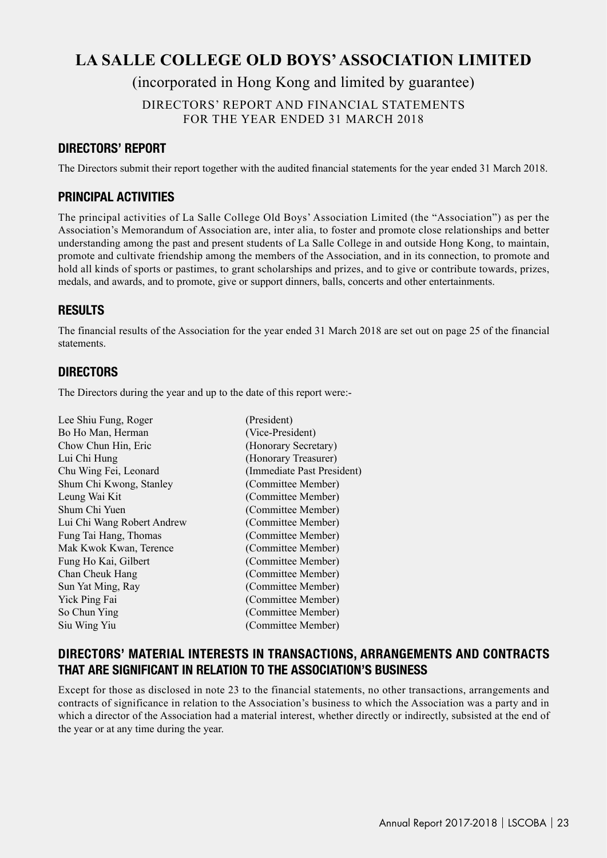# LA SALLE COLLEGE OLD BOYS' ASSOCIATION LIMITED LA SALLE COLLEGE OLD BOYS' ASSOCIATION LIMITED **LA SALLE COLLEGE OLD BOYS' ASSOCIATION LIMITED**

(incorporated in Hong Kong and limited by guarantee)

DIRECTORS' REPORT AND FINANCIAL STATEMENTS FOR THE YEAR ENDED 31 MARCH 2018

### **DIRECTORS' REPORT**

The Directors submit their report together with the audited financial statements for the year ended 31 March 2018.

### **PRINCIPAL ACTIVITIES**

The principal activities of La Salle College Old Boys' Association Limited (the "Association") as per the Association's Memorandum of Association are, inter alia, to foster and promote close relationships and better understanding among the past and present students of La Salle College in and outside Hong Kong, to maintain, promote and cultivate friendship among the members of the Association, and in its connection, to promote and hold all kinds of sports or pastimes, to grant scholarships and prizes, and to give or contribute towards, prizes, medals, and awards, and to promote, give or support dinners, balls, concerts and other entertainments.

### **RESULTS**

The financial results of the Association for the year ended 31 March 2018 are set out on page 25 of the financial statements.

### **DIRECTORS**

The Directors during the year and up to the date of this report were:-

| Lee Shiu Fung, Roger       | (President)                |
|----------------------------|----------------------------|
| Bo Ho Man, Herman          | (Vice-President)           |
| Chow Chun Hin, Eric        | (Honorary Secretary)       |
| Lui Chi Hung               | (Honorary Treasurer)       |
| Chu Wing Fei, Leonard      | (Immediate Past President) |
| Shum Chi Kwong, Stanley    | (Committee Member)         |
| Leung Wai Kit              | (Committee Member)         |
| Shum Chi Yuen              | (Committee Member)         |
| Lui Chi Wang Robert Andrew | (Committee Member)         |
| Fung Tai Hang, Thomas      | (Committee Member)         |
| Mak Kwok Kwan, Terence     | (Committee Member)         |
| Fung Ho Kai, Gilbert       | (Committee Member)         |
| Chan Cheuk Hang            | (Committee Member)         |
| Sun Yat Ming, Ray          | (Committee Member)         |
| Yick Ping Fai              | (Committee Member)         |
| So Chun Ying               | (Committee Member)         |
| Siu Wing Yiu               | (Committee Member)         |
|                            |                            |

### **DIRECTORS' MATERIAL INTERESTS IN TRANSACTIONS, ARRANGEMENTS AND CONTRACTS THAT ARE SIGNIFICANT IN RELATION TO THE ASSOCIATION'S BUSINESS**

Except for those as disclosed in note 23 to the financial statements, no other transactions, arrangements and contracts of significance in relation to the Association's business to which the Association was a party and in which a director of the Association had a material interest, whether directly or indirectly, subsisted at the end of the year or at any time during the year.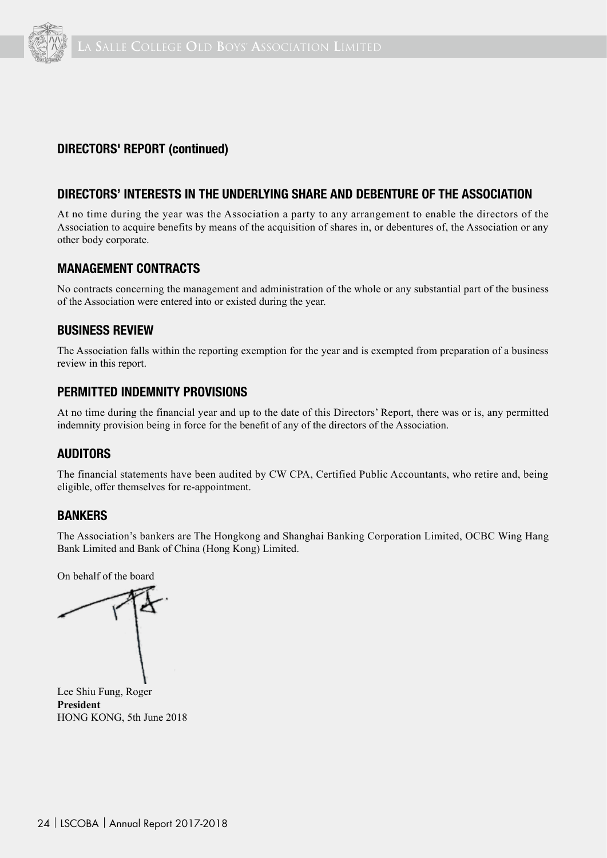

### **DIRECTORS' REPORT (continued)**

#### **DIRECTORS' INTERESTS IN THE UNDERLYING SHARE AND DEBENTURE OF THE ASSOCIATION**

At no time during the year was the Association a party to any arrangement to enable the directors of the Association to acquire benefits by means of the acquisition of shares in, or debentures of, the Association or any other body corporate.

#### **MANAGEMENT CONTRACTS**

No contracts concerning the management and administration of the whole or any substantial part of the business of the Association were entered into or existed during the year.

#### **BUSINESS REVIEW**

The Association falls within the reporting exemption for the year and is exempted from preparation of a business review in this report.

#### **PERMITTED INDEMNITY PROVISIONS**

At no time during the financial year and up to the date of this Directors' Report, there was or is, any permitted indemnity provision being in force for the benefit of any of the directors of the Association.

### **AUDITORS**

The financial statements have been audited by CW CPA, Certified Public Accountants, who retire and, being eligible, offer themselves for re-appointment.

#### **BANKERS**

The Association's bankers are The Hongkong and Shanghai Banking Corporation Limited, OCBC Wing Hang Bank Limited and Bank of China (Hong Kong) Limited.

On behalf of the board

Lee Shiu Fung, Roger **President** HONG KONG, 5th June 2018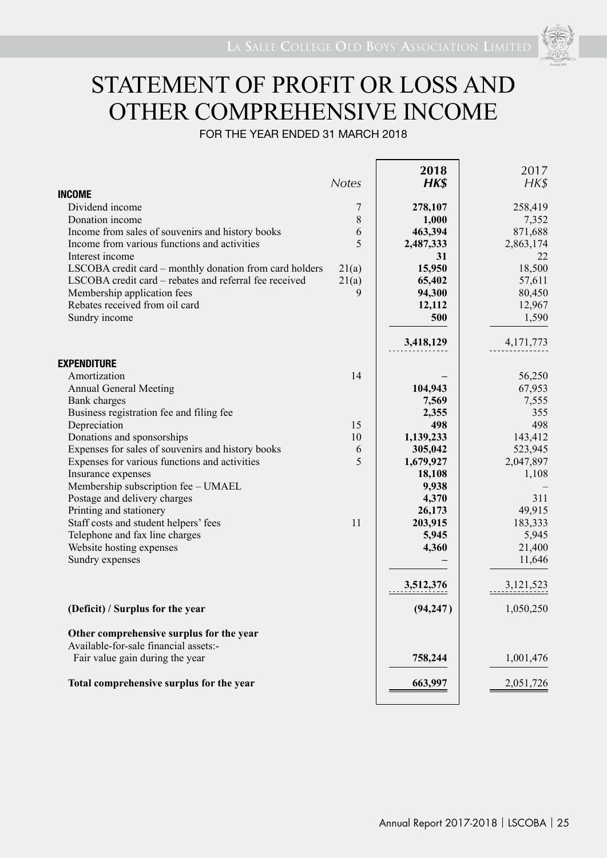# STATEMENT OF PROFIT OR LOSS AND OTHER COMPREHENSIVE INCOME

FOR THE YEAR ENDED 31 MARCH 2018

| <b>INCOME</b>                                                                                                     | <b>Notes</b> | 2018<br>HK\$     | 2017<br>$H K$ \$ |
|-------------------------------------------------------------------------------------------------------------------|--------------|------------------|------------------|
| Dividend income                                                                                                   |              |                  |                  |
| Donation income                                                                                                   | 7<br>8       | 278,107<br>1,000 | 258,419<br>7,352 |
| Income from sales of souvenirs and history books                                                                  | 6            | 463,394          | 871,688          |
| Income from various functions and activities                                                                      | 5            | 2,487,333        | 2,863,174        |
| Interest income                                                                                                   |              | 31               | 22               |
|                                                                                                                   |              | 15,950           | 18,500           |
| LSCOBA credit card – monthly donation from card holders<br>LSCOBA credit card - rebates and referral fee received | 21(a)        |                  |                  |
| Membership application fees                                                                                       | 21(a)<br>9   | 65,402           | 57,611           |
| Rebates received from oil card                                                                                    |              | 94,300           | 80,450           |
|                                                                                                                   |              | 12,112           | 12,967           |
| Sundry income                                                                                                     |              | 500              | 1,590            |
|                                                                                                                   |              | 3,418,129        | 4, 171, 773      |
| <b>EXPENDITURE</b>                                                                                                |              |                  |                  |
| Amortization                                                                                                      | 14           |                  | 56,250           |
| <b>Annual General Meeting</b>                                                                                     |              | 104,943          | 67,953           |
| <b>Bank</b> charges                                                                                               |              | 7,569            | 7,555            |
| Business registration fee and filing fee                                                                          |              | 2,355            | 355              |
| Depreciation                                                                                                      | 15           | 498              | 498              |
| Donations and sponsorships                                                                                        | 10           | 1,139,233        | 143,412          |
| Expenses for sales of souvenirs and history books                                                                 | 6            | 305,042          | 523,945          |
| Expenses for various functions and activities                                                                     | 5            | 1,679,927        | 2,047,897        |
| Insurance expenses                                                                                                |              | 18,108           | 1,108            |
| Membership subscription fee - UMAEL                                                                               |              | 9,938            |                  |
| Postage and delivery charges                                                                                      |              | 4,370            | 311              |
| Printing and stationery                                                                                           |              | 26,173           | 49,915           |
| Staff costs and student helpers' fees                                                                             | 11           | 203,915          | 183,333          |
| Telephone and fax line charges                                                                                    |              | 5,945            | 5,945            |
| Website hosting expenses                                                                                          |              | 4,360            | 21,400           |
| Sundry expenses                                                                                                   |              |                  | 11,646           |
|                                                                                                                   |              | 3,512,376        | 3,121,523        |
| (Deficit) / Surplus for the year                                                                                  |              | (94, 247)        | 1,050,250        |
| Other comprehensive surplus for the year<br>Available-for-sale financial assets:-                                 |              |                  |                  |
| Fair value gain during the year                                                                                   |              | 758,244          | 1,001,476        |
| Total comprehensive surplus for the year                                                                          |              | 663,997          | 2,051,726        |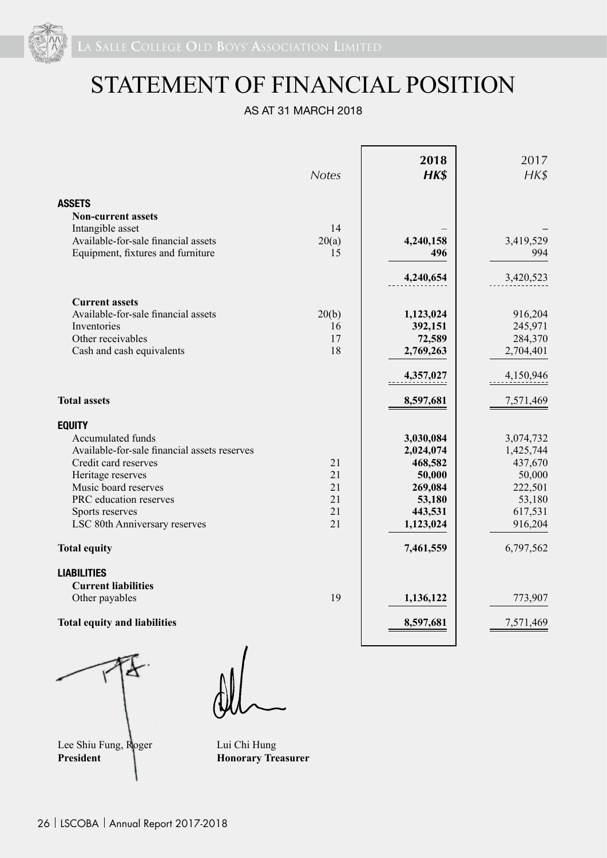

# STATEMENT OF FINANCIAL POSITION

AS AT 31 MARCH 2018

|                                              | <b>Notes</b> | 2018<br>HK\$ | 2017<br>$H K$ \$ |
|----------------------------------------------|--------------|--------------|------------------|
| <b>ASSETS</b>                                |              |              |                  |
| <b>Non-current assets</b>                    |              |              |                  |
| Intangible asset                             | 14           |              |                  |
| Available-for-sale financial assets          | 20(a)        | 4,240,158    | 3,419,529        |
| Equipment, fixtures and furniture            | 15           | 496          | 994              |
|                                              |              | 4,240,654    | 3,420,523        |
| <b>Current assets</b>                        |              |              |                  |
| Available-for-sale financial assets          | 20(b)        | 1,123,024    | 916,204          |
| Inventories                                  | 16           | 392,151      | 245,971          |
| Other receivables                            | 17           | 72,589       | 284,370          |
| Cash and cash equivalents                    | 18           | 2,769,263    | 2,704,401        |
|                                              |              | 4,357,027    | 4,150,946        |
| <b>Total assets</b>                          |              | 8,597,681    | 7,571,469        |
| <b>EQUITY</b>                                |              |              |                  |
| Accumulated funds                            |              | 3,030,084    | 3,074,732        |
| Available-for-sale financial assets reserves |              | 2,024,074    | 1,425,744        |
| Credit card reserves                         | 21           | 468,582      | 437,670          |
| Heritage reserves                            | 21           | 50,000       | 50,000           |
| Music board reserves                         | 21           | 269,084      | 222,501          |
| PRC education reserves                       | 21           | 53,180       | 53,180           |
| Sports reserves                              | 21           | 443,531      | 617,531          |
| LSC 80th Anniversary reserves                | 21           | 1,123,024    | 916,204          |
| <b>Total equity</b>                          |              | 7,461,559    | 6,797,562        |
| <b>LIABILITIES</b>                           |              |              |                  |
| <b>Current liabilities</b>                   |              |              |                  |
| Other payables                               | 19           | 1,136,122    | 773,907          |
| <b>Total equity and liabilities</b>          |              | 8,597,681    | 7,571,469        |



Lee Shiu Fung, Roger Lui Chi Hung<br>President Honorary Tre

**Honorary Treasurer**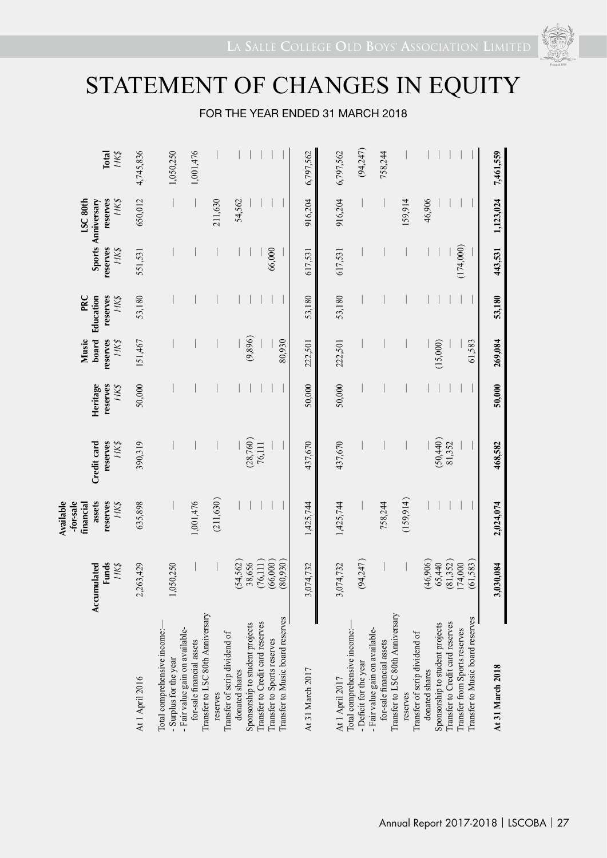# STATEMENT OF CHANGES IN EQUITY

### FOR THE YEAR ENDED 31 MARCH 2018

|                                                                                                  | Accumulated<br><b>Funds</b><br>HK\$ | assets<br>Available<br>-for-sale<br>reserves<br>HK\$<br>financial | Credit card<br>reserves<br>HK\$ | Heritage<br>reserves<br>HK\$ | board<br>Music<br>reserves<br>HK\$ | PRC<br>Education<br>reserves<br>HK\$ | reserves<br>HK\$ | LSC <sub>80th</sub><br>reserves<br>HK\$<br>Sports Anniversary | <b>Total</b><br>HK\$ |
|--------------------------------------------------------------------------------------------------|-------------------------------------|-------------------------------------------------------------------|---------------------------------|------------------------------|------------------------------------|--------------------------------------|------------------|---------------------------------------------------------------|----------------------|
| At 1 April 2016                                                                                  | 2,263,429                           | 635,898                                                           | 390,319                         | 50,000                       | 151,467                            | 53,180                               | 551,531          | 650,012                                                       | 4,745,836            |
| Total comprehensive income:-<br>- Surplus for the year                                           | 1,050,250                           |                                                                   |                                 |                              |                                    |                                      |                  |                                                               | 1,050,250            |
| Transfer to LSC 80th Anniversary<br>- Fair value gain on available-<br>for-sale financial assets |                                     | 1,001,476                                                         |                                 |                              |                                    |                                      |                  |                                                               | 1,001,476            |
| Transfer of scrip dividend of<br>reserves                                                        |                                     | (211, 630)                                                        |                                 |                              |                                    |                                      |                  | 211,630                                                       |                      |
| donated shares                                                                                   | (54, 562)                           |                                                                   |                                 |                              |                                    |                                      |                  | 54,562                                                        |                      |
| Transfer to Credit card reserves<br>Sponsorship to student projects                              | (76, 111)<br>38,656                 |                                                                   | (28,760)<br>76,111              |                              | (9,896)                            |                                      |                  |                                                               |                      |
| Transfer to Sports reserves                                                                      | (66,000)                            |                                                                   |                                 |                              |                                    |                                      | 66,000           |                                                               |                      |
| Transfer to Music board reserves                                                                 | (0.66, 0.8)                         |                                                                   |                                 |                              | 80,930                             |                                      |                  |                                                               |                      |
| At 31 March 2017                                                                                 | 3,074,732                           | 1,425,744                                                         | 437,670                         | 50,000                       | 222,501                            | 53,180                               | 617,531          | 916,204                                                       | 6,797,562            |
| Total comprehensive income:-<br>At 1 April 2017                                                  | 3,074,732                           | 1,425,744                                                         | 437,670                         | 50,000                       | 222,501                            | 53,180                               | 617,531          | 916,204                                                       | 6,797,562            |
| - Deficit for the year                                                                           | (94,247)                            |                                                                   |                                 |                              |                                    |                                      |                  |                                                               | (94,247)             |
| Transfer to LSC 80th Anniversary<br>- Fair value gain on available-<br>for-sale financial assets |                                     | 758,244                                                           |                                 |                              |                                    |                                      |                  |                                                               | 758,244              |
| reserves                                                                                         |                                     | (159, 914)                                                        |                                 |                              |                                    |                                      |                  | 159,914                                                       |                      |
| Transfer of scrip dividend of<br>donated shares                                                  | (46,906)                            |                                                                   |                                 |                              |                                    |                                      |                  | 46,906                                                        |                      |
| Sponsorship to student projects                                                                  | 65,440                              |                                                                   | (50, 440)                       |                              | (15,000)                           |                                      |                  |                                                               |                      |
| Transfer to Credit card reserves                                                                 | (81, 352)                           |                                                                   | 81,352                          |                              |                                    |                                      |                  |                                                               |                      |
| Transfer to Music board reserves<br>Transfer from Sports reserves                                | (61, 583)<br>174,000                |                                                                   |                                 |                              | 61,583                             |                                      | (174,000)        |                                                               |                      |
|                                                                                                  |                                     |                                                                   |                                 |                              |                                    |                                      |                  |                                                               |                      |
| At 31 March 2018                                                                                 | 3,030,084                           | 2,024,074                                                         | 468,582                         | 50,000                       | 269,084                            | 53,180                               | 443,531          | 1,123,024                                                     | 7,461,559            |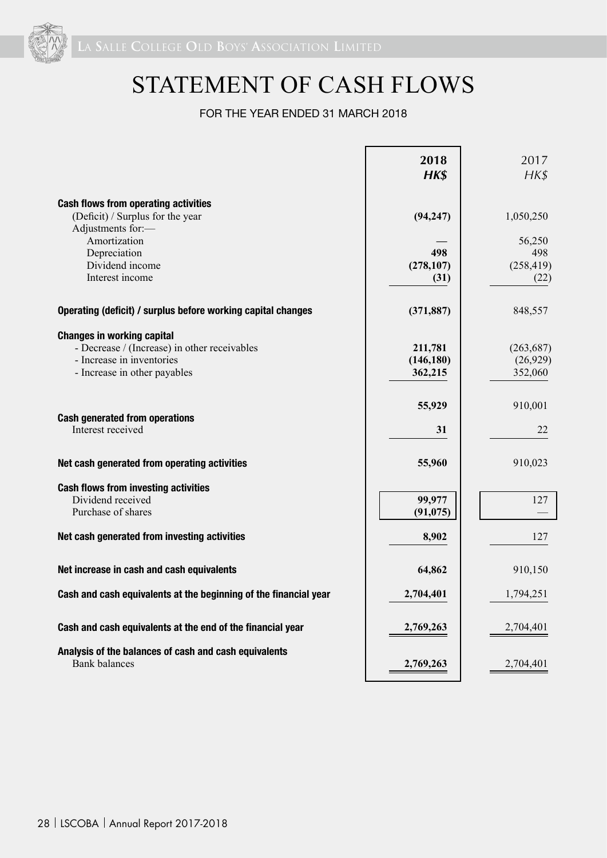

# STATEMENT OF CASH FLOWS

### FOR THE YEAR ENDED 31 MARCH 2018

|                                                                                                                                                | 2018<br>HK\$                     | 2017<br>$H K$ \$                    |
|------------------------------------------------------------------------------------------------------------------------------------------------|----------------------------------|-------------------------------------|
| <b>Cash flows from operating activities</b><br>(Deficit) / Surplus for the year<br>Adjustments for:-                                           | (94, 247)                        | 1,050,250                           |
| Amortization<br>Depreciation<br>Dividend income<br>Interest income                                                                             | 498<br>(278, 107)<br>(31)        | 56,250<br>498<br>(258, 419)<br>(22) |
| Operating (deficit) / surplus before working capital changes                                                                                   | (371, 887)                       | 848,557                             |
| <b>Changes in working capital</b><br>- Decrease / (Increase) in other receivables<br>- Increase in inventories<br>- Increase in other payables | 211,781<br>(146, 180)<br>362,215 | (263, 687)<br>(26,929)<br>352,060   |
| <b>Cash generated from operations</b><br>Interest received                                                                                     | 55,929<br>31                     | 910,001<br>22                       |
| Net cash generated from operating activities                                                                                                   | 55,960                           | 910,023                             |
| <b>Cash flows from investing activities</b><br>Dividend received<br>Purchase of shares                                                         | 99,977<br>(91, 075)              | 127                                 |
| Net cash generated from investing activities                                                                                                   | 8,902                            | 127                                 |
| Net increase in cash and cash equivalents                                                                                                      | 64,862                           | 910,150                             |
| Cash and cash equivalents at the beginning of the financial year                                                                               | 2,704,401                        | 1,794,251                           |
| Cash and cash equivalents at the end of the financial year                                                                                     | 2,769,263                        | 2,704,401                           |
| Analysis of the balances of cash and cash equivalents<br><b>Bank balances</b>                                                                  | 2,769,263                        | 2,704,401                           |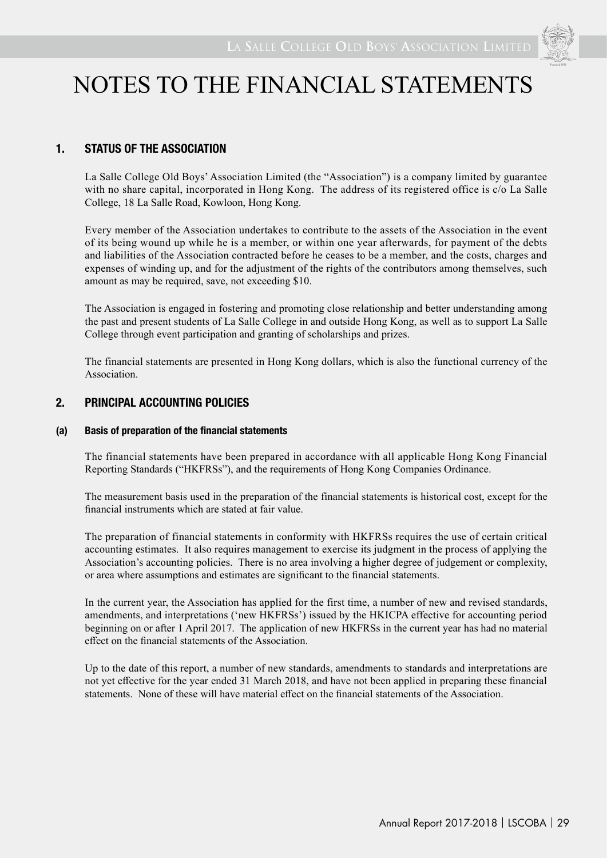### **1. STATUS OF THE ASSOCIATION**

La Salle College Old Boys' Association Limited (the "Association") is a company limited by guarantee with no share capital, incorporated in Hong Kong. The address of its registered office is c/o La Salle College, 18 La Salle Road, Kowloon, Hong Kong.

Every member of the Association undertakes to contribute to the assets of the Association in the event of its being wound up while he is a member, or within one year afterwards, for payment of the debts and liabilities of the Association contracted before he ceases to be a member, and the costs, charges and expenses of winding up, and for the adjustment of the rights of the contributors among themselves, such amount as may be required, save, not exceeding \$10.

The Association is engaged in fostering and promoting close relationship and better understanding among the past and present students of La Salle College in and outside Hong Kong, as well as to support La Salle College through event participation and granting of scholarships and prizes.

The financial statements are presented in Hong Kong dollars, which is also the functional currency of the Association.

#### **2. PRINCIPAL ACCOUNTING POLICIES**

#### **(a) Basis of preparation of the financial statements**

The financial statements have been prepared in accordance with all applicable Hong Kong Financial Reporting Standards ("HKFRSs"), and the requirements of Hong Kong Companies Ordinance.

The measurement basis used in the preparation of the financial statements is historical cost, except for the financial instruments which are stated at fair value.

The preparation of financial statements in conformity with HKFRSs requires the use of certain critical accounting estimates. It also requires management to exercise its judgment in the process of applying the Association's accounting policies. There is no area involving a higher degree of judgement or complexity, or area where assumptions and estimates are significant to the financial statements.

In the current year, the Association has applied for the first time, a number of new and revised standards, amendments, and interpretations ('new HKFRSs') issued by the HKICPA effective for accounting period beginning on or after 1 April 2017. The application of new HKFRSs in the current year has had no material effect on the financial statements of the Association.

Up to the date of this report, a number of new standards, amendments to standards and interpretations are not yet effective for the year ended 31 March 2018, and have not been applied in preparing these financial statements. None of these will have material effect on the financial statements of the Association.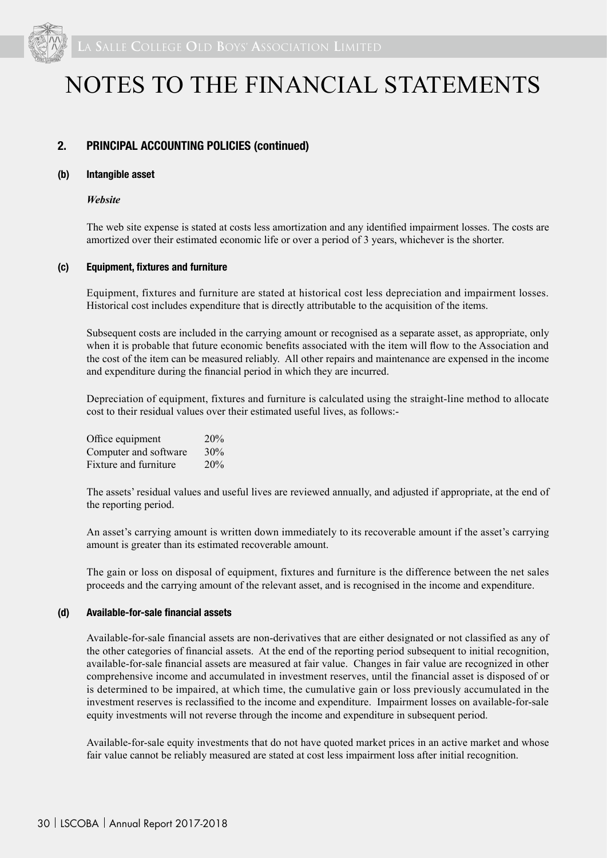

#### **2. PRINCIPAL ACCOUNTING POLICIES (continued)**

#### **(b) Intangible asset**

#### *Website*

The web site expense is stated at costs less amortization and any identified impairment losses. The costs are amortized over their estimated economic life or over a period of 3 years, whichever is the shorter.

#### **(c) Equipment, fixtures and furniture**

Equipment, fixtures and furniture are stated at historical cost less depreciation and impairment losses. Historical cost includes expenditure that is directly attributable to the acquisition of the items.

Subsequent costs are included in the carrying amount or recognised as a separate asset, as appropriate, only when it is probable that future economic benefits associated with the item will flow to the Association and the cost of the item can be measured reliably. All other repairs and maintenance are expensed in the income and expenditure during the financial period in which they are incurred.

Depreciation of equipment, fixtures and furniture is calculated using the straight-line method to allocate cost to their residual values over their estimated useful lives, as follows:-

| Office equipment      | 20% |
|-----------------------|-----|
| Computer and software | 30% |
| Fixture and furniture | 20% |

The assets' residual values and useful lives are reviewed annually, and adjusted if appropriate, at the end of the reporting period.

An asset's carrying amount is written down immediately to its recoverable amount if the asset's carrying amount is greater than its estimated recoverable amount.

The gain or loss on disposal of equipment, fixtures and furniture is the difference between the net sales proceeds and the carrying amount of the relevant asset, and is recognised in the income and expenditure.

#### **(d) Available-for-sale financial assets**

Available-for-sale financial assets are non-derivatives that are either designated or not classified as any of the other categories of financial assets. At the end of the reporting period subsequent to initial recognition, available-for-sale financial assets are measured at fair value. Changes in fair value are recognized in other comprehensive income and accumulated in investment reserves, until the financial asset is disposed of or is determined to be impaired, at which time, the cumulative gain or loss previously accumulated in the investment reserves is reclassified to the income and expenditure. Impairment losses on available-for-sale equity investments will not reverse through the income and expenditure in subsequent period.

Available-for-sale equity investments that do not have quoted market prices in an active market and whose fair value cannot be reliably measured are stated at cost less impairment loss after initial recognition.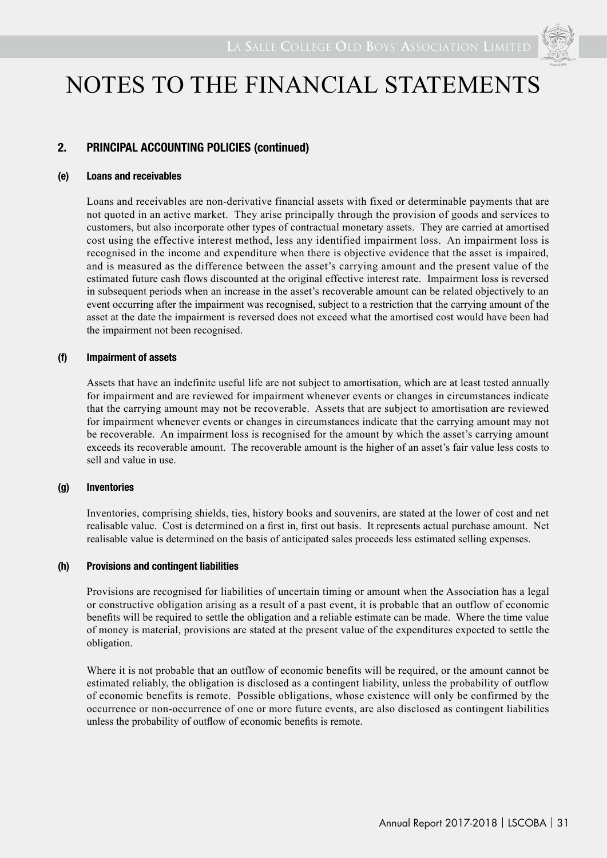

### **2. PRINCIPAL ACCOUNTING POLICIES (continued)**

#### **(e) Loans and receivables**

Loans and receivables are non-derivative financial assets with fixed or determinable payments that are not quoted in an active market. They arise principally through the provision of goods and services to customers, but also incorporate other types of contractual monetary assets. They are carried at amortised cost using the effective interest method, less any identified impairment loss. An impairment loss is recognised in the income and expenditure when there is objective evidence that the asset is impaired, and is measured as the difference between the asset's carrying amount and the present value of the estimated future cash flows discounted at the original effective interest rate. Impairment loss is reversed in subsequent periods when an increase in the asset's recoverable amount can be related objectively to an event occurring after the impairment was recognised, subject to a restriction that the carrying amount of the asset at the date the impairment is reversed does not exceed what the amortised cost would have been had the impairment not been recognised.

#### **(f) Impairment of assets**

Assets that have an indefinite useful life are not subject to amortisation, which are at least tested annually for impairment and are reviewed for impairment whenever events or changes in circumstances indicate that the carrying amount may not be recoverable. Assets that are subject to amortisation are reviewed for impairment whenever events or changes in circumstances indicate that the carrying amount may not be recoverable. An impairment loss is recognised for the amount by which the asset's carrying amount exceeds its recoverable amount. The recoverable amount is the higher of an asset's fair value less costs to sell and value in use.

#### **(g) Inventories**

Inventories, comprising shields, ties, history books and souvenirs, are stated at the lower of cost and net realisable value. Cost is determined on a first in, first out basis. It represents actual purchase amount. Net realisable value is determined on the basis of anticipated sales proceeds less estimated selling expenses.

#### **(h) Provisions and contingent liabilities**

Provisions are recognised for liabilities of uncertain timing or amount when the Association has a legal or constructive obligation arising as a result of a past event, it is probable that an outflow of economic benefits will be required to settle the obligation and a reliable estimate can be made. Where the time value of money is material, provisions are stated at the present value of the expenditures expected to settle the obligation.

Where it is not probable that an outflow of economic benefits will be required, or the amount cannot be estimated reliably, the obligation is disclosed as a contingent liability, unless the probability of outflow of economic benefits is remote. Possible obligations, whose existence will only be confirmed by the occurrence or non-occurrence of one or more future events, are also disclosed as contingent liabilities unless the probability of outflow of economic benefits is remote.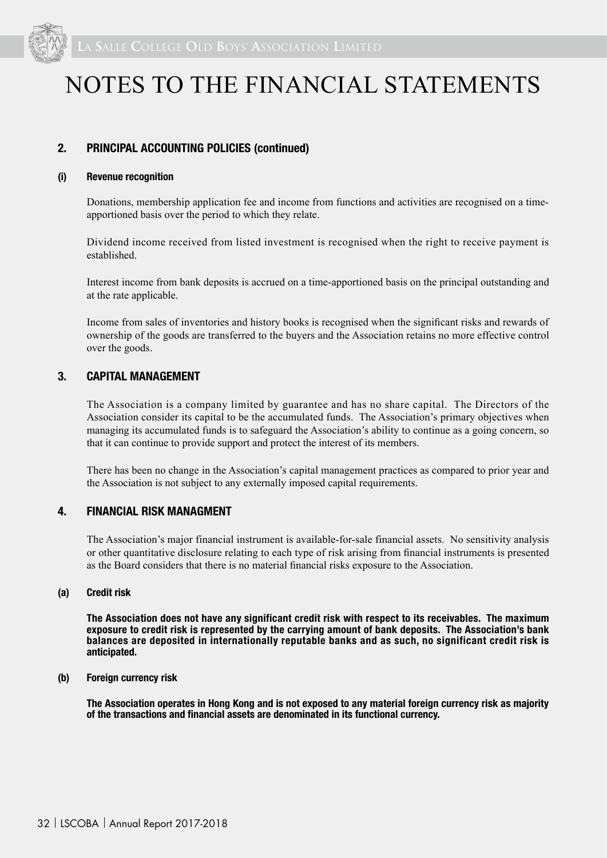

#### **2. PRINCIPAL ACCOUNTING POLICIES (continued)**

#### **(i) Revenue recognition**

Donations, membership application fee and income from functions and activities are recognised on a timeapportioned basis over the period to which they relate.

Dividend income received from listed investment is recognised when the right to receive payment is established.

Interest income from bank deposits is accrued on a time-apportioned basis on the principal outstanding and at the rate applicable.

Income from sales of inventories and history books is recognised when the significant risks and rewards of ownership of the goods are transferred to the buyers and the Association retains no more effective control over the goods.

#### **3. CAPITAL MANAGEMENT**

The Association is a company limited by guarantee and has no share capital. The Directors of the Association consider its capital to be the accumulated funds. The Association's primary objectives when managing its accumulated funds is to safeguard the Association's ability to continue as a going concern, so that it can continue to provide support and protect the interest of its members.

There has been no change in the Association's capital management practices as compared to prior year and the Association is not subject to any externally imposed capital requirements.

#### **4. FINANCIAL RISK MANAGMENT**

The Association's major financial instrument is available-for-sale financial assets. No sensitivity analysis or other quantitative disclosure relating to each type of risk arising from financial instruments is presented as the Board considers that there is no material financial risks exposure to the Association.

#### **(a) Credit risk**

**The Association does not have any significant credit risk with respect to its receivables. The maximum exposure to credit risk is represented by the carrying amount of bank deposits. The Association's bank balances are deposited in internationally reputable banks and as such, no significant credit risk is anticipated.**

#### **(b) Foreign currency risk**

**The Association operates in Hong Kong and is not exposed to any material foreign currency risk as majority of the transactions and financial assets are denominated in its functional currency.**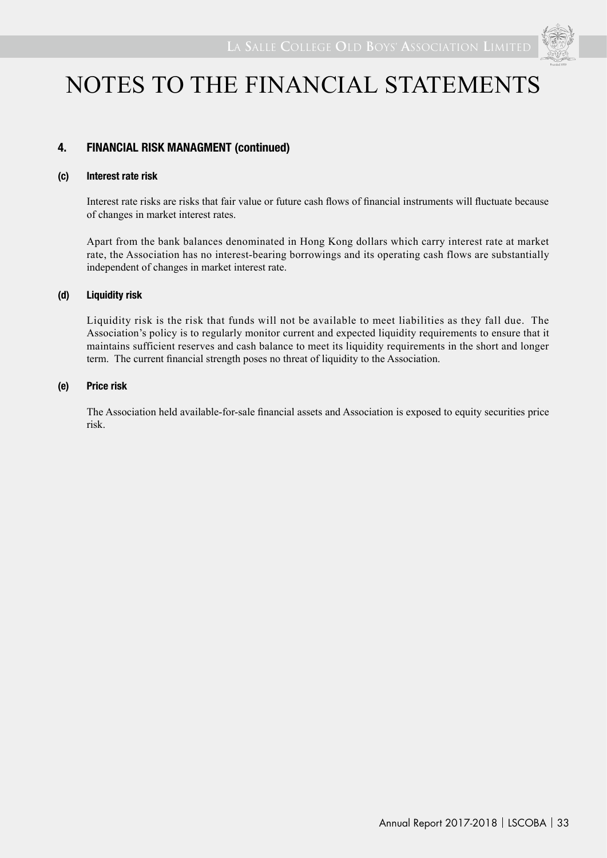

### **4. FINANCIAL RISK MANAGMENT (continued)**

#### **(c) Interest rate risk**

Interest rate risks are risks that fair value or future cash flows of financial instruments will fluctuate because of changes in market interest rates.

Apart from the bank balances denominated in Hong Kong dollars which carry interest rate at market rate, the Association has no interest-bearing borrowings and its operating cash flows are substantially independent of changes in market interest rate.

#### **(d) Liquidity risk**

Liquidity risk is the risk that funds will not be available to meet liabilities as they fall due. The Association's policy is to regularly monitor current and expected liquidity requirements to ensure that it maintains sufficient reserves and cash balance to meet its liquidity requirements in the short and longer term. The current financial strength poses no threat of liquidity to the Association.

#### **(e) Price risk**

The Association held available-for-sale financial assets and Association is exposed to equity securities price risk.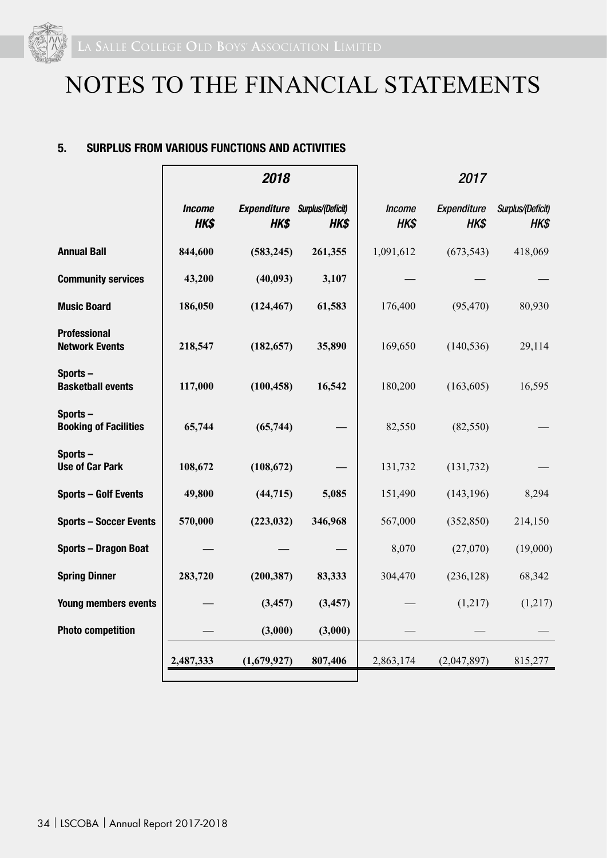

#### **5. SURPLUS FROM VARIOUS FUNCTIONS AND ACTIVITIES**

|                                              |                       | 2018                                         |          |                       | 2017                |                           |
|----------------------------------------------|-----------------------|----------------------------------------------|----------|-----------------------|---------------------|---------------------------|
|                                              | <b>Income</b><br>HK\$ | <b>Expenditure Surplus/(Deficit)</b><br>HK\$ | HK\$     | <b>Income</b><br>HK\$ | Expenditure<br>HK\$ | Surplus/(Deficit)<br>HK\$ |
| <b>Annual Ball</b>                           | 844,600               | (583, 245)                                   | 261,355  | 1,091,612             | (673, 543)          | 418,069                   |
| <b>Community services</b>                    | 43,200                | (40, 093)                                    | 3,107    |                       |                     |                           |
| <b>Music Board</b>                           | 186,050               | (124, 467)                                   | 61,583   | 176,400               | (95, 470)           | 80,930                    |
| <b>Professional</b><br><b>Network Events</b> | 218,547               | (182, 657)                                   | 35,890   | 169,650               | (140, 536)          | 29,114                    |
| Sports-<br><b>Basketball events</b>          | 117,000               | (100, 458)                                   | 16,542   | 180,200               | (163, 605)          | 16,595                    |
| Sports-<br><b>Booking of Facilities</b>      | 65,744                | (65, 744)                                    |          | 82,550                | (82, 550)           |                           |
| Sports-<br><b>Use of Car Park</b>            | 108,672               | (108, 672)                                   |          | 131,732               | (131, 732)          |                           |
| <b>Sports - Golf Events</b>                  | 49,800                | (44, 715)                                    | 5,085    | 151,490               | (143, 196)          | 8,294                     |
| <b>Sports - Soccer Events</b>                | 570,000               | (223, 032)                                   | 346,968  | 567,000               | (352, 850)          | 214,150                   |
| <b>Sports - Dragon Boat</b>                  |                       |                                              |          | 8,070                 | (27,070)            | (19,000)                  |
| <b>Spring Dinner</b>                         | 283,720               | (200, 387)                                   | 83,333   | 304,470               | (236, 128)          | 68,342                    |
| <b>Young members events</b>                  |                       | (3, 457)                                     | (3, 457) |                       | (1,217)             | (1,217)                   |
| <b>Photo competition</b>                     |                       | (3,000)                                      | (3,000)  |                       |                     |                           |
|                                              | 2,487,333             | (1,679,927)                                  | 807,406  | 2,863,174             | (2,047,897)         | 815,277                   |
|                                              |                       |                                              |          |                       |                     |                           |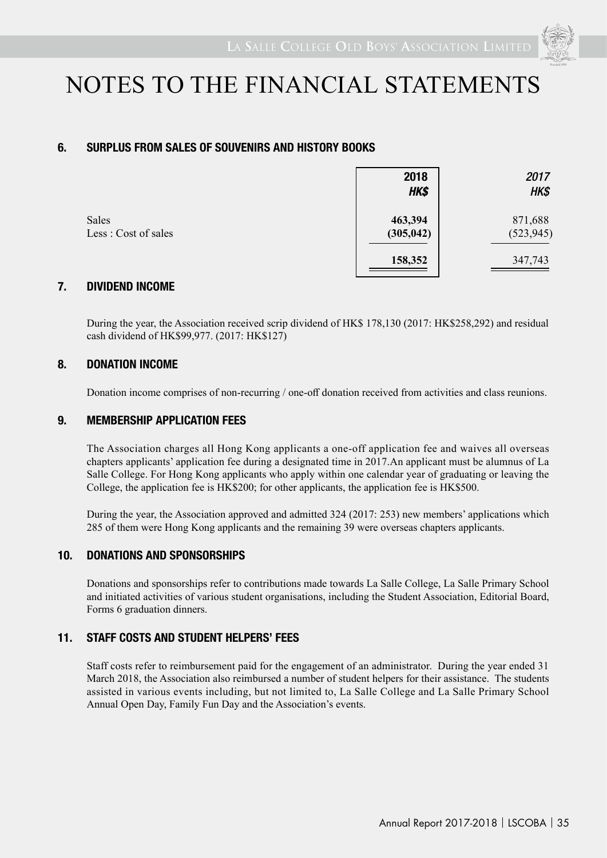

### **6. SURPLUS FROM SALES OF SOUVENIRS AND HISTORY BOOKS**

|                               | 2018<br>HK\$          | 2017<br>HK\$          |
|-------------------------------|-----------------------|-----------------------|
| Sales<br>Less : Cost of sales | 463,394<br>(305, 042) | 871,688<br>(523, 945) |
|                               | 158,352               | 347,743               |

### **7. DIVIDEND INCOME**

During the year, the Association received scrip dividend of HK\$ 178,130 (2017: HK\$258,292) and residual cash dividend of HK\$99,977. (2017: HK\$127)

#### **8. DONATION INCOME**

Donation income comprises of non-recurring / one-off donation received from activities and class reunions.

#### **9. MEMBERSHIP APPLICATION FEES**

The Association charges all Hong Kong applicants a one-off application fee and waives all overseas chapters applicants' application fee during a designated time in 2017.An applicant must be alumnus of La Salle College. For Hong Kong applicants who apply within one calendar year of graduating or leaving the College, the application fee is HK\$200; for other applicants, the application fee is HK\$500.

During the year, the Association approved and admitted 324 (2017: 253) new members' applications which 285 of them were Hong Kong applicants and the remaining 39 were overseas chapters applicants.

### **10. DONATIONS AND SPONSORSHIPS**

Donations and sponsorships refer to contributions made towards La Salle College, La Salle Primary School and initiated activities of various student organisations, including the Student Association, Editorial Board, Forms 6 graduation dinners.

### **11. STAFF COSTS AND STUDENT HELPERS' FEES**

Staff costs refer to reimbursement paid for the engagement of an administrator. During the year ended 31 March 2018, the Association also reimbursed a number of student helpers for their assistance. The students assisted in various events including, but not limited to, La Salle College and La Salle Primary School Annual Open Day, Family Fun Day and the Association's events.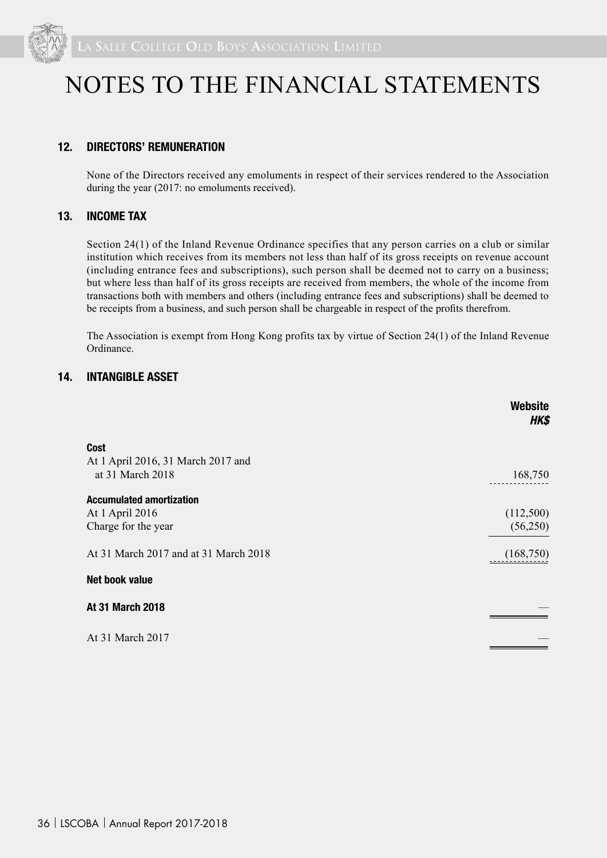

### **12. DIRECTORS' REMUNERATION**

None of the Directors received any emoluments in respect of their services rendered to the Association during the year (2017: no emoluments received).

#### **13. INCOME TAX**

Section 24(1) of the Inland Revenue Ordinance specifies that any person carries on a club or similar institution which receives from its members not less than half of its gross receipts on revenue account (including entrance fees and subscriptions), such person shall be deemed not to carry on a business; but where less than half of its gross receipts are received from members, the whole of the income from transactions both with members and others (including entrance fees and subscriptions) shall be deemed to be receipts from a business, and such person shall be chargeable in respect of the profits therefrom.

The Association is exempt from Hong Kong profits tax by virtue of Section 24(1) of the Inland Revenue Ordinance.

#### **14. INTANGIBLE ASSET**

|                                       | Website<br>HK\$ |
|---------------------------------------|-----------------|
| <b>Cost</b>                           |                 |
| At 1 April 2016, 31 March 2017 and    |                 |
| at 31 March 2018                      | 168,750         |
| <b>Accumulated amortization</b>       |                 |
| At 1 April 2016                       | (112,500)       |
| Charge for the year                   | (56,250)        |
| At 31 March 2017 and at 31 March 2018 | (168,750)       |
| Net book value                        |                 |
| <b>At 31 March 2018</b>               |                 |
| At 31 March 2017                      |                 |
|                                       |                 |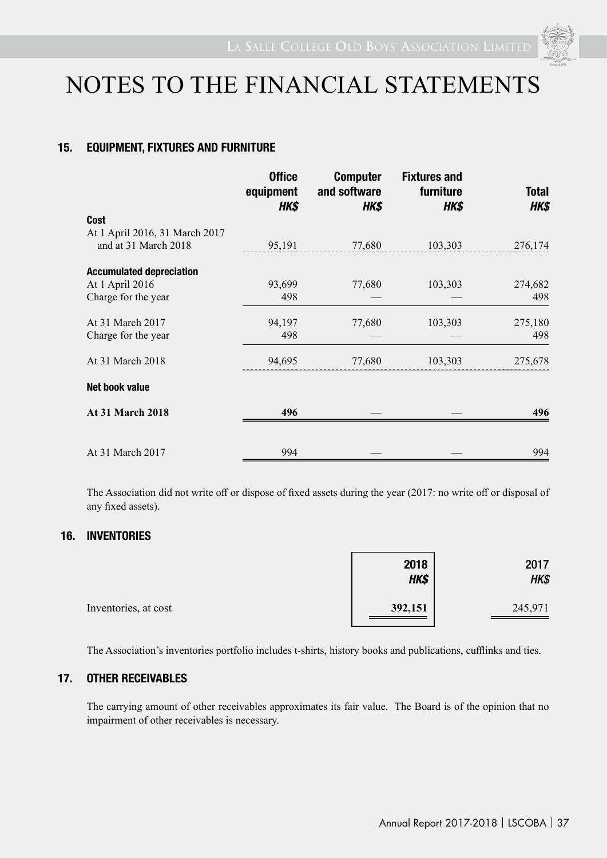

### **15. EQUIPMENT, FIXTURES AND FURNITURE**

|                                 | <b>Office</b><br>equipment<br>HK\$ | <b>Computer</b><br>and software<br>HK\$ | <b>Fixtures and</b><br>furniture<br>HK\$ | <b>Total</b><br>HK\$ |
|---------------------------------|------------------------------------|-----------------------------------------|------------------------------------------|----------------------|
| <b>Cost</b>                     |                                    |                                         |                                          |                      |
| At 1 April 2016, 31 March 2017  |                                    |                                         |                                          |                      |
| and at 31 March 2018            | 95,191                             | 77,680                                  | 103,303                                  | 276,174              |
| <b>Accumulated depreciation</b> |                                    |                                         |                                          |                      |
| At 1 April 2016                 | 93,699                             | 77,680                                  | 103,303                                  | 274,682              |
| Charge for the year             | 498                                |                                         |                                          | 498                  |
| At 31 March 2017                | 94,197                             | 77,680                                  | 103,303                                  | 275,180              |
| Charge for the year             | 498                                |                                         |                                          | 498                  |
| At 31 March 2018                | 94,695                             | 77,680                                  | 103,303                                  | 275,678              |
| <b>Net book value</b>           |                                    |                                         |                                          |                      |
| <b>At 31 March 2018</b>         | 496                                |                                         |                                          | 496                  |
|                                 |                                    |                                         |                                          |                      |
| At 31 March 2017                | 994                                |                                         |                                          | 994                  |

The Association did not write off or dispose of fixed assets during the year (2017: no write off or disposal of any fixed assets).

### **16. INVENTORIES**

|                      | 2018<br>HK\$ | 2017<br>HK\$ |
|----------------------|--------------|--------------|
| Inventories, at cost | 392,151      | 245,971      |

The Association's inventories portfolio includes t-shirts, history books and publications, cufflinks and ties.

### **17. OTHER RECEIVABLES**

The carrying amount of other receivables approximates its fair value. The Board is of the opinion that no impairment of other receivables is necessary.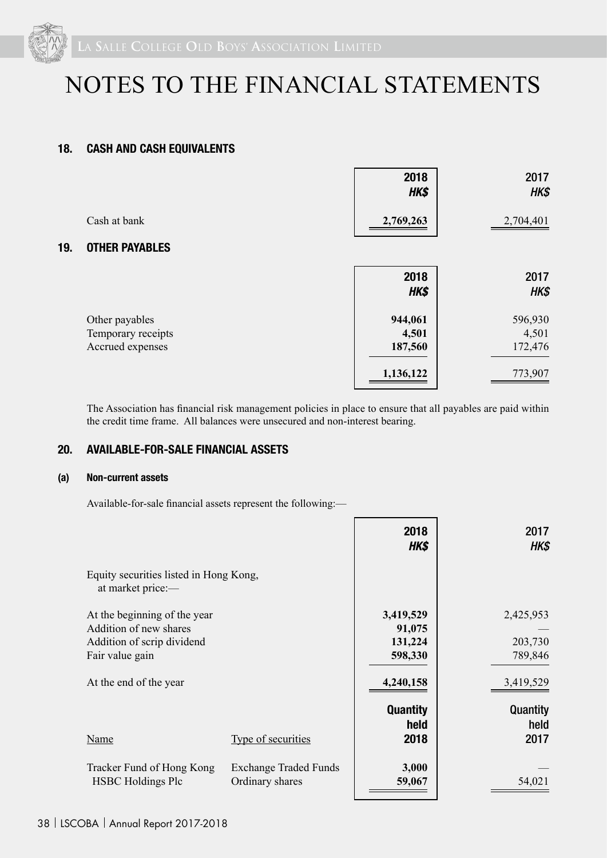

### **18. CASH AND CASH EQUIVALENTS**

|     |                                                          | 2018<br>HK\$                | 2017<br>HK\$                |
|-----|----------------------------------------------------------|-----------------------------|-----------------------------|
|     | Cash at bank                                             | 2,769,263                   | 2,704,401                   |
| 19. | <b>OTHER PAYABLES</b>                                    |                             |                             |
|     |                                                          | 2018<br>HK\$                | 2017<br>HK\$                |
|     | Other payables<br>Temporary receipts<br>Accrued expenses | 944,061<br>4,501<br>187,560 | 596,930<br>4,501<br>172,476 |
|     |                                                          | 1,136,122                   | 773,907                     |

The Association has financial risk management policies in place to ensure that all payables are paid within the credit time frame. All balances were unsecured and non-interest bearing.

#### **20. AVAILABLE-FOR-SALE FINANCIAL ASSETS**

#### **(a) Non-current assets**

Available-for-sale financial assets represent the following:—

|                                                             |                              | 2018<br><b>HK\$</b> | 2017<br>HK\$ |
|-------------------------------------------------------------|------------------------------|---------------------|--------------|
| Equity securities listed in Hong Kong,<br>at market price:- |                              |                     |              |
| At the beginning of the year<br>Addition of new shares      |                              | 3,419,529           | 2,425,953    |
| Addition of scrip dividend                                  |                              | 91,075<br>131,224   | 203,730      |
| Fair value gain                                             |                              | 598,330             | 789,846      |
|                                                             |                              |                     |              |
| At the end of the year                                      |                              | 4,240,158           | 3,419,529    |
|                                                             |                              | <b>Quantity</b>     | Quantity     |
|                                                             |                              | held                | held         |
| Name                                                        | Type of securities           | 2018                | 2017         |
| Tracker Fund of Hong Kong                                   | <b>Exchange Traded Funds</b> | 3,000               |              |
| <b>HSBC</b> Holdings Plc                                    | Ordinary shares              | 59,067              | 54,021       |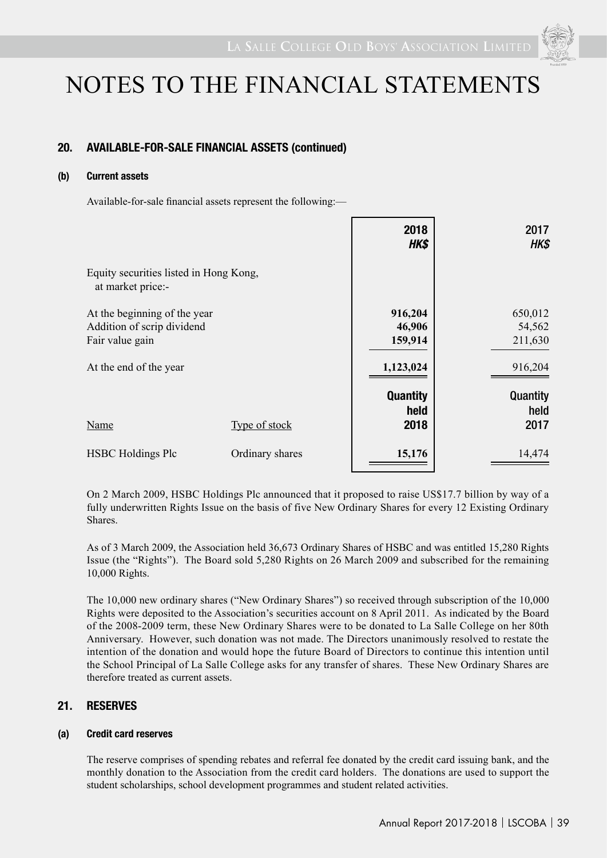

### **20. AVAILABLE-FOR-SALE FINANCIAL ASSETS (continued)**

### **(b) Current assets**

Available-for-sale financial assets represent the following:—

|                                                                               |                 | 2018<br>HK\$                    | 2017<br>HK\$                 |
|-------------------------------------------------------------------------------|-----------------|---------------------------------|------------------------------|
| Equity securities listed in Hong Kong,<br>at market price:-                   |                 |                                 |                              |
| At the beginning of the year<br>Addition of scrip dividend<br>Fair value gain |                 | 916,204<br>46,906<br>159,914    | 650,012<br>54,562<br>211,630 |
| At the end of the year                                                        |                 | 1,123,024                       | 916,204                      |
| Name                                                                          | Type of stock   | <b>Quantity</b><br>held<br>2018 | Quantity<br>held<br>2017     |
| <b>HSBC</b> Holdings Plc                                                      | Ordinary shares | 15,176                          | 14,474                       |

On 2 March 2009, HSBC Holdings Plc announced that it proposed to raise US\$17.7 billion by way of a fully underwritten Rights Issue on the basis of five New Ordinary Shares for every 12 Existing Ordinary Shares.

As of 3 March 2009, the Association held 36,673 Ordinary Shares of HSBC and was entitled 15,280 Rights Issue (the "Rights"). The Board sold 5,280 Rights on 26 March 2009 and subscribed for the remaining 10,000 Rights.

The 10,000 new ordinary shares ("New Ordinary Shares") so received through subscription of the 10,000 Rights were deposited to the Association's securities account on 8 April 2011. As indicated by the Board of the 2008-2009 term, these New Ordinary Shares were to be donated to La Salle College on her 80th Anniversary. However, such donation was not made. The Directors unanimously resolved to restate the intention of the donation and would hope the future Board of Directors to continue this intention until the School Principal of La Salle College asks for any transfer of shares. These New Ordinary Shares are therefore treated as current assets.

### **21. RESERVES**

#### **(a) Credit card reserves**

The reserve comprises of spending rebates and referral fee donated by the credit card issuing bank, and the monthly donation to the Association from the credit card holders. The donations are used to support the student scholarships, school development programmes and student related activities.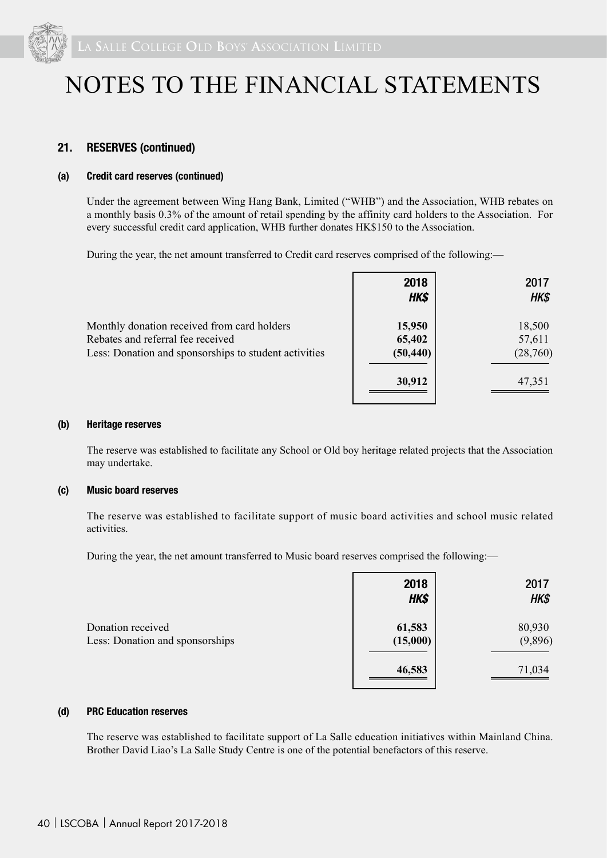

#### **21. RESERVES (continued)**

#### **(a) Credit card reserves (continued)**

Under the agreement between Wing Hang Bank, Limited ("WHB") and the Association, WHB rebates on a monthly basis 0.3% of the amount of retail spending by the affinity card holders to the Association. For every successful credit card application, WHB further donates HK\$150 to the Association.

During the year, the net amount transferred to Credit card reserves comprised of the following:—

|                                                       | 2018<br>HK\$ | 2017<br>HK\$ |
|-------------------------------------------------------|--------------|--------------|
| Monthly donation received from card holders           | 15,950       | 18,500       |
| Rebates and referral fee received                     | 65,402       | 57,611       |
| Less: Donation and sponsorships to student activities | (50, 440)    | (28,760)     |
|                                                       | 30,912       | 47,351       |

#### **(b) Heritage reserves**

The reserve was established to facilitate any School or Old boy heritage related projects that the Association may undertake.

#### **(c) Music board reserves**

The reserve was established to facilitate support of music board activities and school music related activities.

During the year, the net amount transferred to Music board reserves comprised the following:—

|                                                      | 2018<br>HK\$       | 2017<br>HK\$      |
|------------------------------------------------------|--------------------|-------------------|
| Donation received<br>Less: Donation and sponsorships | 61,583<br>(15,000) | 80,930<br>(9,896) |
|                                                      | 46,583             | 71,034            |

#### **(d) PRC Education reserves**

The reserve was established to facilitate support of La Salle education initiatives within Mainland China. Brother David Liao's La Salle Study Centre is one of the potential benefactors of this reserve.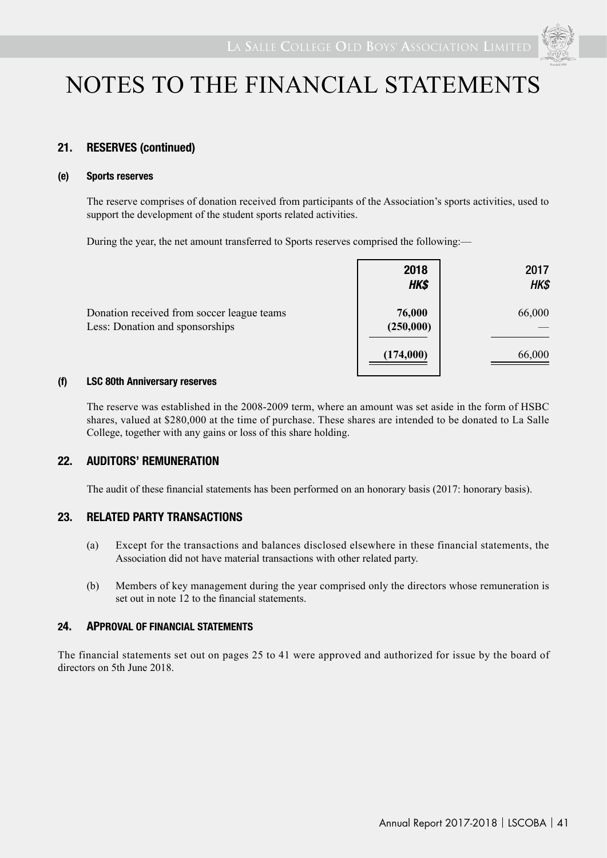

### **21. RESERVES (continued)**

#### **(e) Sports reserves**

The reserve comprises of donation received from participants of the Association's sports activities, used to support the development of the student sports related activities.

During the year, the net amount transferred to Sports reserves comprised the following:—

|                                                                               | 2018<br>HK\$        | 2017<br>HK\$ |
|-------------------------------------------------------------------------------|---------------------|--------------|
| Donation received from soccer league teams<br>Less: Donation and sponsorships | 76,000<br>(250,000) | 66,000       |
|                                                                               | (174,000)           | 66,000       |

#### **(f) LSC 80th Anniversary reserves**

The reserve was established in the 2008-2009 term, where an amount was set aside in the form of HSBC shares, valued at \$280,000 at the time of purchase. These shares are intended to be donated to La Salle College, together with any gains or loss of this share holding.

### **22. AUDITORS' REMUNERATION**

The audit of these financial statements has been performed on an honorary basis (2017: honorary basis).

### **23. RELATED PARTY TRANSACTIONS**

- (a) Except for the transactions and balances disclosed elsewhere in these financial statements, the Association did not have material transactions with other related party.
- (b) Members of key management during the year comprised only the directors whose remuneration is set out in note 12 to the financial statements.

#### **24. APPROVAL OF FINANCIAL STATEMENTS**

The financial statements set out on pages 25 to 41 were approved and authorized for issue by the board of directors on 5th June 2018.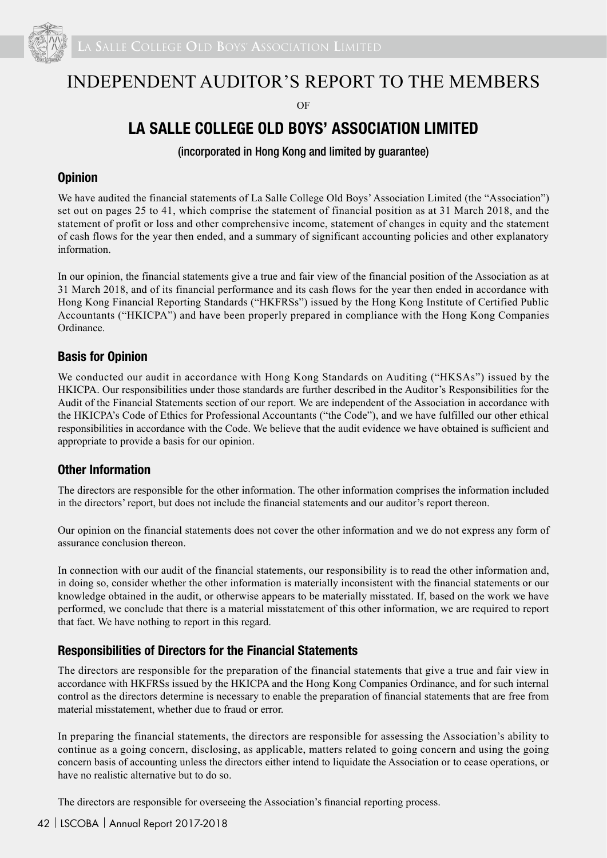

# INDEPENDENT AUDITOR'S REPORT TO THE MEMBERS

 $\overline{OR}$ 

# **LA SALLE COLLEGE OLD BOYS' ASSOCIATION LIMITED**

(incorporated in Hong Kong and limited by guarantee)

### **Opinion**

We have audited the financial statements of La Salle College Old Boys' Association Limited (the "Association") set out on pages 25 to 41, which comprise the statement of financial position as at 31 March 2018, and the statement of profit or loss and other comprehensive income, statement of changes in equity and the statement of cash flows for the year then ended, and a summary of significant accounting policies and other explanatory information.

In our opinion, the financial statements give a true and fair view of the financial position of the Association as at 31 March 2018, and of its financial performance and its cash flows for the year then ended in accordance with Hong Kong Financial Reporting Standards ("HKFRSs") issued by the Hong Kong Institute of Certified Public Accountants ("HKICPA") and have been properly prepared in compliance with the Hong Kong Companies Ordinance.

### **Basis for Opinion**

We conducted our audit in accordance with Hong Kong Standards on Auditing ("HKSAs") issued by the HKICPA. Our responsibilities under those standards are further described in the Auditor's Responsibilities for the Audit of the Financial Statements section of our report. We are independent of the Association in accordance with the HKICPA's Code of Ethics for Professional Accountants ("the Code"), and we have fulfilled our other ethical responsibilities in accordance with the Code. We believe that the audit evidence we have obtained is sufficient and appropriate to provide a basis for our opinion.

### **Other Information**

The directors are responsible for the other information. The other information comprises the information included in the directors' report, but does not include the financial statements and our auditor's report thereon.

Our opinion on the financial statements does not cover the other information and we do not express any form of assurance conclusion thereon.

In connection with our audit of the financial statements, our responsibility is to read the other information and, in doing so, consider whether the other information is materially inconsistent with the financial statements or our knowledge obtained in the audit, or otherwise appears to be materially misstated. If, based on the work we have performed, we conclude that there is a material misstatement of this other information, we are required to report that fact. We have nothing to report in this regard.

### **Responsibilities of Directors for the Financial Statements**

The directors are responsible for the preparation of the financial statements that give a true and fair view in accordance with HKFRSs issued by the HKICPA and the Hong Kong Companies Ordinance, and for such internal control as the directors determine is necessary to enable the preparation of financial statements that are free from material misstatement, whether due to fraud or error.

In preparing the financial statements, the directors are responsible for assessing the Association's ability to continue as a going concern, disclosing, as applicable, matters related to going concern and using the going concern basis of accounting unless the directors either intend to liquidate the Association or to cease operations, or have no realistic alternative but to do so.

The directors are responsible for overseeing the Association's financial reporting process.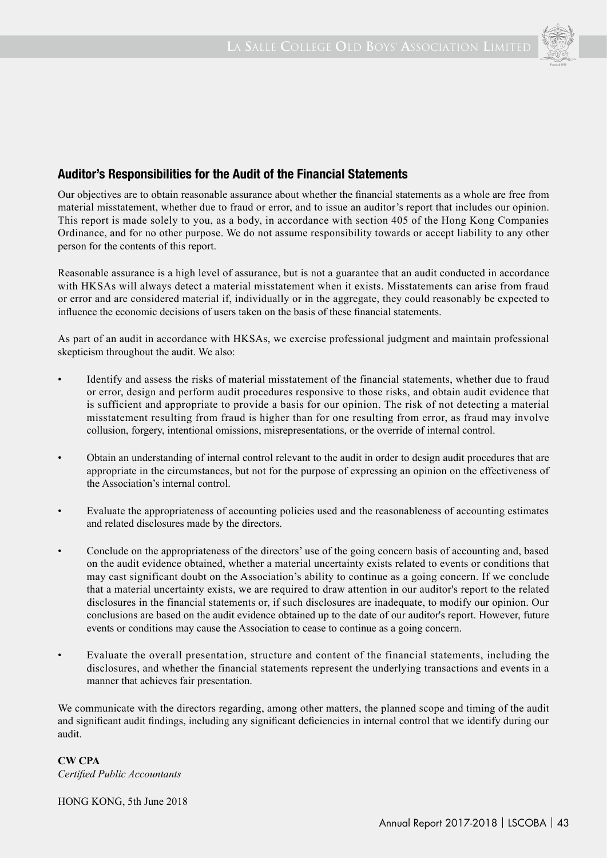

## **Auditor's Responsibilities for the Audit of the Financial Statements**

Our objectives are to obtain reasonable assurance about whether the financial statements as a whole are free from material misstatement, whether due to fraud or error, and to issue an auditor's report that includes our opinion. This report is made solely to you, as a body, in accordance with section 405 of the Hong Kong Companies Ordinance, and for no other purpose. We do not assume responsibility towards or accept liability to any other person for the contents of this report.

Reasonable assurance is a high level of assurance, but is not a guarantee that an audit conducted in accordance with HKSAs will always detect a material misstatement when it exists. Misstatements can arise from fraud or error and are considered material if, individually or in the aggregate, they could reasonably be expected to influence the economic decisions of users taken on the basis of these financial statements.

As part of an audit in accordance with HKSAs, we exercise professional judgment and maintain professional skepticism throughout the audit. We also:

- Identify and assess the risks of material misstatement of the financial statements, whether due to fraud or error, design and perform audit procedures responsive to those risks, and obtain audit evidence that is sufficient and appropriate to provide a basis for our opinion. The risk of not detecting a material misstatement resulting from fraud is higher than for one resulting from error, as fraud may involve collusion, forgery, intentional omissions, misrepresentations, or the override of internal control.
- Obtain an understanding of internal control relevant to the audit in order to design audit procedures that are appropriate in the circumstances, but not for the purpose of expressing an opinion on the effectiveness of the Association's internal control.
- Evaluate the appropriateness of accounting policies used and the reasonableness of accounting estimates and related disclosures made by the directors.
- Conclude on the appropriateness of the directors' use of the going concern basis of accounting and, based on the audit evidence obtained, whether a material uncertainty exists related to events or conditions that may cast significant doubt on the Association's ability to continue as a going concern. If we conclude that a material uncertainty exists, we are required to draw attention in our auditor's report to the related disclosures in the financial statements or, if such disclosures are inadequate, to modify our opinion. Our conclusions are based on the audit evidence obtained up to the date of our auditor's report. However, future events or conditions may cause the Association to cease to continue as a going concern.
- Evaluate the overall presentation, structure and content of the financial statements, including the disclosures, and whether the financial statements represent the underlying transactions and events in a manner that achieves fair presentation.

We communicate with the directors regarding, among other matters, the planned scope and timing of the audit and significant audit findings, including any significant deficiencies in internal control that we identify during our audit.

**CW CPA** *Certified Public Accountants*

HONG KONG, 5th June 2018